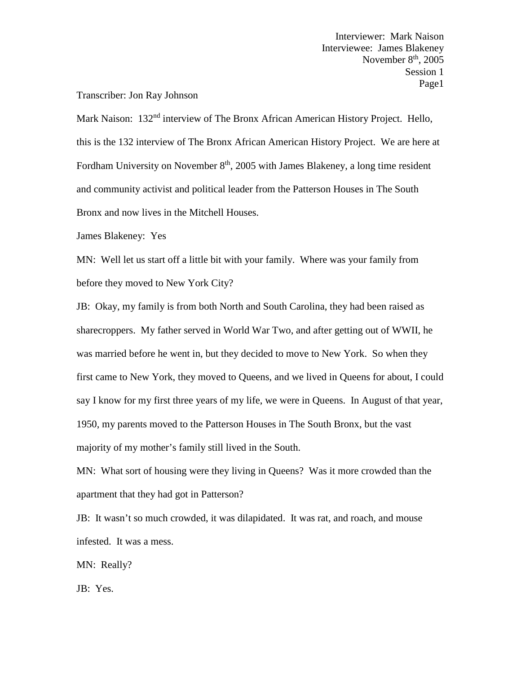## Transcriber: Jon Ray Johnson

Mark Naison: 132<sup>nd</sup> interview of The Bronx African American History Project. Hello, this is the 132 interview of The Bronx African American History Project. We are here at Fordham University on November  $8<sup>th</sup>$ , 2005 with James Blakeney, a long time resident and community activist and political leader from the Patterson Houses in The South Bronx and now lives in the Mitchell Houses.

James Blakeney: Yes

MN: Well let us start off a little bit with your family. Where was your family from before they moved to New York City?

JB: Okay, my family is from both North and South Carolina, they had been raised as sharecroppers. My father served in World War Two, and after getting out of WWII, he was married before he went in, but they decided to move to New York. So when they first came to New York, they moved to Queens, and we lived in Queens for about, I could say I know for my first three years of my life, we were in Queens. In August of that year, 1950, my parents moved to the Patterson Houses in The South Bronx, but the vast majority of my mother's family still lived in the South.

MN: What sort of housing were they living in Queens? Was it more crowded than the apartment that they had got in Patterson?

JB: It wasn't so much crowded, it was dilapidated. It was rat, and roach, and mouse infested. It was a mess.

MN: Really?

JB: Yes.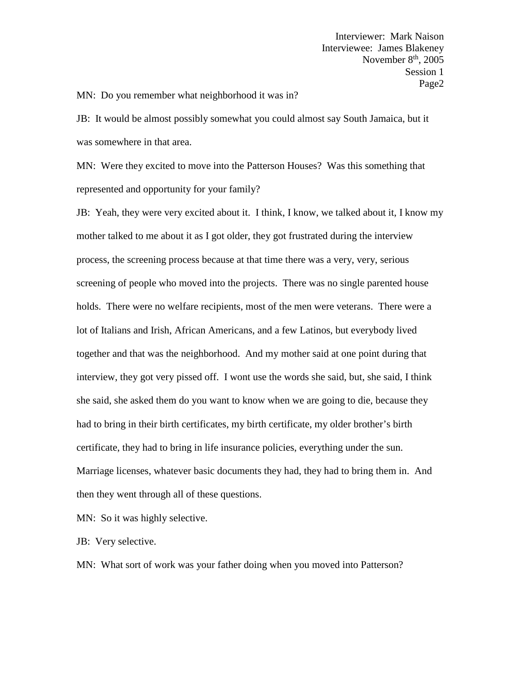MN: Do you remember what neighborhood it was in?

JB: It would be almost possibly somewhat you could almost say South Jamaica, but it was somewhere in that area.

MN: Were they excited to move into the Patterson Houses? Was this something that represented and opportunity for your family?

JB: Yeah, they were very excited about it. I think, I know, we talked about it, I know my mother talked to me about it as I got older, they got frustrated during the interview process, the screening process because at that time there was a very, very, serious screening of people who moved into the projects. There was no single parented house holds. There were no welfare recipients, most of the men were veterans. There were a lot of Italians and Irish, African Americans, and a few Latinos, but everybody lived together and that was the neighborhood. And my mother said at one point during that interview, they got very pissed off. I wont use the words she said, but, she said, I think she said, she asked them do you want to know when we are going to die, because they had to bring in their birth certificates, my birth certificate, my older brother's birth certificate, they had to bring in life insurance policies, everything under the sun. Marriage licenses, whatever basic documents they had, they had to bring them in. And then they went through all of these questions.

MN: So it was highly selective.

JB: Very selective.

MN: What sort of work was your father doing when you moved into Patterson?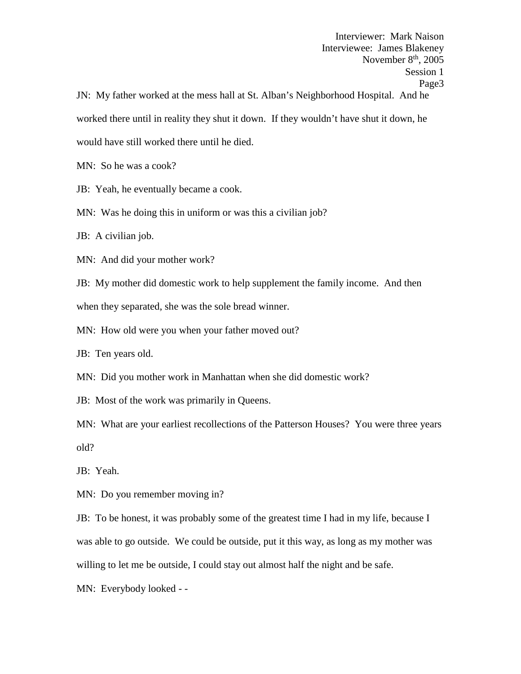Interviewer: Mark Naison Interviewee: James Blakeney November  $8<sup>th</sup>$ , 2005 Session 1 Page3 JN: My father worked at the mess hall at St. Alban's Neighborhood Hospital. And he worked there until in reality they shut it down. If they wouldn't have shut it down, he would have still worked there until he died.

MN: So he was a cook?

JB: Yeah, he eventually became a cook.

MN: Was he doing this in uniform or was this a civilian job?

JB: A civilian job.

MN: And did your mother work?

JB: My mother did domestic work to help supplement the family income. And then when they separated, she was the sole bread winner.

MN: How old were you when your father moved out?

JB: Ten years old.

MN: Did you mother work in Manhattan when she did domestic work?

JB: Most of the work was primarily in Queens.

MN: What are your earliest recollections of the Patterson Houses? You were three years old?

JB: Yeah.

MN: Do you remember moving in?

JB: To be honest, it was probably some of the greatest time I had in my life, because I was able to go outside. We could be outside, put it this way, as long as my mother was willing to let me be outside, I could stay out almost half the night and be safe.

MN: Everybody looked - -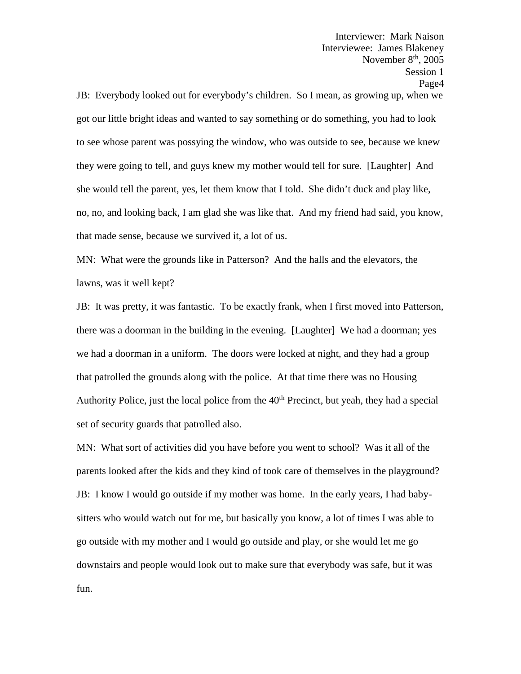Interviewee: James Blakeney November  $8<sup>th</sup>$ , 2005 Session 1 Page4 JB: Everybody looked out for everybody's children. So I mean, as growing up, when we got our little bright ideas and wanted to say something or do something, you had to look to see whose parent was possying the window, who was outside to see, because we knew they were going to tell, and guys knew my mother would tell for sure. [Laughter] And she would tell the parent, yes, let them know that I told. She didn't duck and play like, no, no, and looking back, I am glad she was like that. And my friend had said, you know, that made sense, because we survived it, a lot of us.

Interviewer: Mark Naison

MN: What were the grounds like in Patterson? And the halls and the elevators, the lawns, was it well kept?

JB: It was pretty, it was fantastic. To be exactly frank, when I first moved into Patterson, there was a doorman in the building in the evening. [Laughter] We had a doorman; yes we had a doorman in a uniform. The doors were locked at night, and they had a group that patrolled the grounds along with the police. At that time there was no Housing Authority Police, just the local police from the  $40<sup>th</sup>$  Precinct, but yeah, they had a special set of security guards that patrolled also.

MN: What sort of activities did you have before you went to school? Was it all of the parents looked after the kids and they kind of took care of themselves in the playground? JB: I know I would go outside if my mother was home. In the early years, I had baby sitters who would watch out for me, but basically you know, a lot of times I was able to go outside with my mother and I would go outside and play, or she would let me go downstairs and people would look out to make sure that everybody was safe, but it was fun.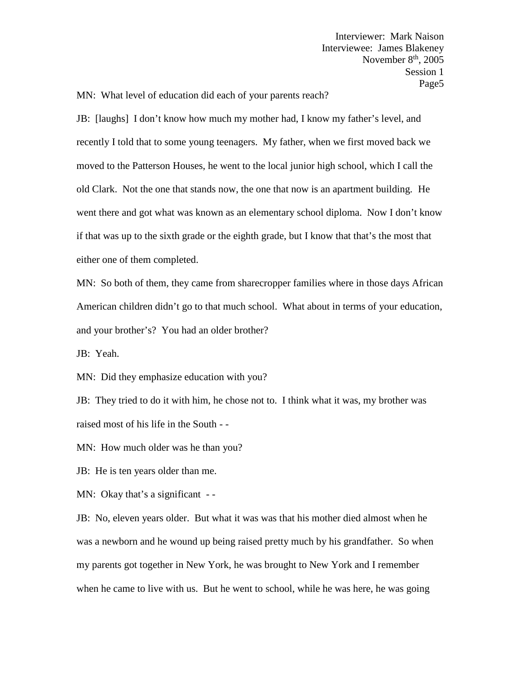MN: What level of education did each of your parents reach?

JB: [laughs] I don't know how much my mother had, I know my father's level, and recently I told that to some young teenagers. My father, when we first moved back we moved to the Patterson Houses, he went to the local junior high school, which I call the old Clark. Not the one that stands now, the one that now is an apartment building. He went there and got what was known as an elementary school diploma. Now I don't know if that was up to the sixth grade or the eighth grade, but I know that that's the most that either one of them completed.

MN: So both of them, they came from sharecropper families where in those days African American children didn't go to that much school. What about in terms of your education, and your brother's? You had an older brother?

JB: Yeah.

MN: Did they emphasize education with you?

JB: They tried to do it with him, he chose not to. I think what it was, my brother was raised most of his life in the South - -

MN: How much older was he than you?

JB: He is ten years older than me.

MN: Okay that's a significant --

JB: No, eleven years older. But what it was was that his mother died almost when he was a newborn and he wound up being raised pretty much by his grandfather. So when my parents got together in New York, he was brought to New York and I remember when he came to live with us. But he went to school, while he was here, he was going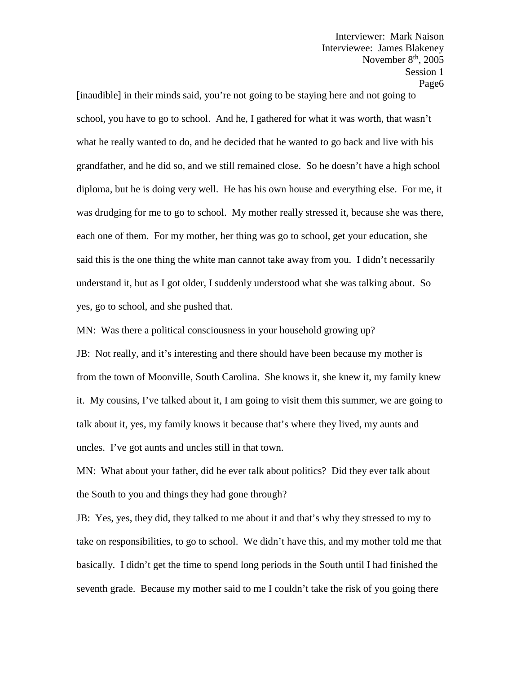[inaudible] in their minds said, you're not going to be staying here and not going to school, you have to go to school. And he, I gathered for what it was worth, that wasn't what he really wanted to do, and he decided that he wanted to go back and live with his grandfather, and he did so, and we still remained close. So he doesn't have a high school diploma, but he is doing very well. He has his own house and everything else. For me, it was drudging for me to go to school. My mother really stressed it, because she was there, each one of them. For my mother, her thing was go to school, get your education, she said this is the one thing the white man cannot take away from you. I didn't necessarily understand it, but as I got older, I suddenly understood what she was talking about. So yes, go to school, and she pushed that.

MN: Was there a political consciousness in your household growing up?

JB: Not really, and it's interesting and there should have been because my mother is from the town of Moonville, South Carolina. She knows it, she knew it, my family knew it. My cousins, I've talked about it, I am going to visit them this summer, we are going to talk about it, yes, my family knows it because that's where they lived, my aunts and uncles. I've got aunts and uncles still in that town.

MN: What about your father, did he ever talk about politics? Did they ever talk about the South to you and things they had gone through?

JB: Yes, yes, they did, they talked to me about it and that's why they stressed to my to take on responsibilities, to go to school. We didn't have this, and my mother told me that basically. I didn't get the time to spend long periods in the South until I had finished the seventh grade. Because my mother said to me I couldn't take the risk of you going there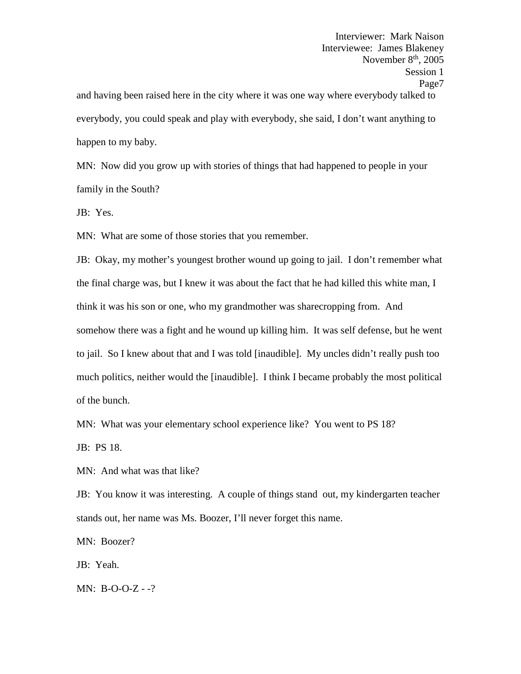Interviewer: Mark Naison Interviewee: James Blakeney November  $8<sup>th</sup>$ , 2005 Session 1 Page7 and having been raised here in the city where it was one way where everybody talked to everybody, you could speak and play with everybody, she said, I don't want anything to happen to my baby.

MN: Now did you grow up with stories of things that had happened to people in your family in the South?

JB: Yes.

MN: What are some of those stories that you remember.

JB: Okay, my mother's youngest brother wound up going to jail. I don't remember what the final charge was, but I knew it was about the fact that he had killed this white man, I think it was his son or one, who my grandmother was sharecropping from. And somehow there was a fight and he wound up killing him. It was self defense, but he went to jail. So I knew about that and I was told [inaudible]. My uncles didn't really push too much politics, neither would the [inaudible]. I think I became probably the most political of the bunch.

MN: What was your elementary school experience like? You went to PS 18?

JB: PS 18.

MN: And what was that like?

JB: You know it was interesting. A couple of things stand out, my kindergarten teacher stands out, her name was Ms. Boozer, I'll never forget this name.

MN: Boozer?

JB: Yeah.

MN: B-O-O-Z - -?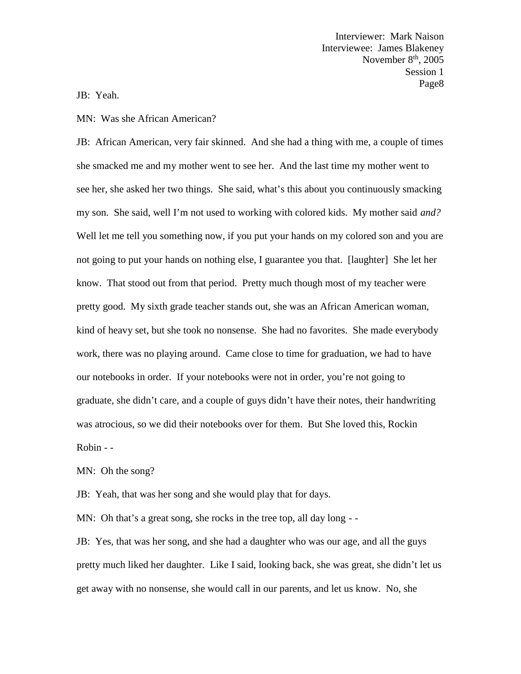JB: Yeah.

## MN: Was she African American?

JB: African American, very fair skinned. And she had a thing with me, a couple of times she smacked me and my mother went to see her. And the last time my mother went to see her, she asked her two things. She said, what's this about you continuously smacking my son. She said, well I'm not used to working with colored kids. My mother said *and?* Well let me tell you something now, if you put your hands on my colored son and you are not going to put your hands on nothing else, I guarantee you that. [laughter] She let her know. That stood out from that period. Pretty much though most of my teacher were pretty good. My sixth grade teacher stands out, she was an African American woman, kind of heavy set, but she took no nonsense. She had no favorites. She made everybody work, there was no playing around. Came close to time for graduation, we had to have our notebooks in order. If your notebooks were not in order, you're not going to graduate, she didn't care, and a couple of guys didn't have their notes, their handwriting was atrocious, so we did their notebooks over for them. But She loved this, Rockin Robin - -<br>MN: Oh the song?

JB: Yeah, that was her song and she would play that for days.

MN: Oh that's a great song, she rocks in the tree top, all day long - -<br>JB: Yes, that was her song, and she had a daughter who was our age, and all the guys pretty much liked her daughter. Like I said, looking back, she was great, she didn't let us get away with no nonsense, she would call in our parents, and let us know. No, she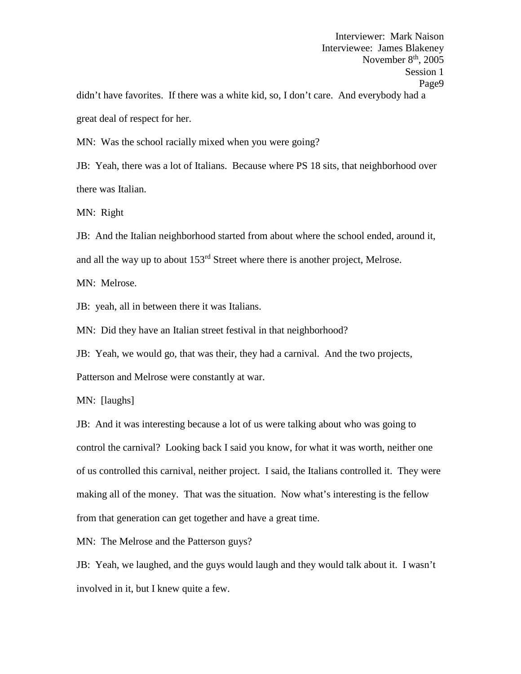Interviewer: Mark Naison Interviewee: James Blakeney November  $8<sup>th</sup>$ , 2005 Session 1 Page9 didn't have favorites. If there was a white kid, so, I don't care. And everybody had a great deal of respect for her.

MN: Was the school racially mixed when you were going?

JB: Yeah, there was a lot of Italians. Because where PS 18 sits, that neighborhood over there was Italian.

MN: Right

JB: And the Italian neighborhood started from about where the school ended, around it, and all the way up to about  $153<sup>rd</sup>$  Street where there is another project, Melrose.

MN: Melrose.

JB: yeah, all in between there it was Italians.

MN: Did they have an Italian street festival in that neighborhood?

JB: Yeah, we would go, that was their, they had a carnival. And the two projects,

Patterson and Melrose were constantly at war.

MN: [laughs]

JB: And it was interesting because a lot of us were talking about who was going to control the carnival? Looking back I said you know, for what it was worth, neither one of us controlled this carnival, neither project. I said, the Italians controlled it. They were making all of the money. That was the situation. Now what's interesting is the fellow from that generation can get together and have a great time.

MN: The Melrose and the Patterson guys?

JB: Yeah, we laughed, and the guys would laugh and they would talk about it. I wasn't involved in it, but I knew quite a few.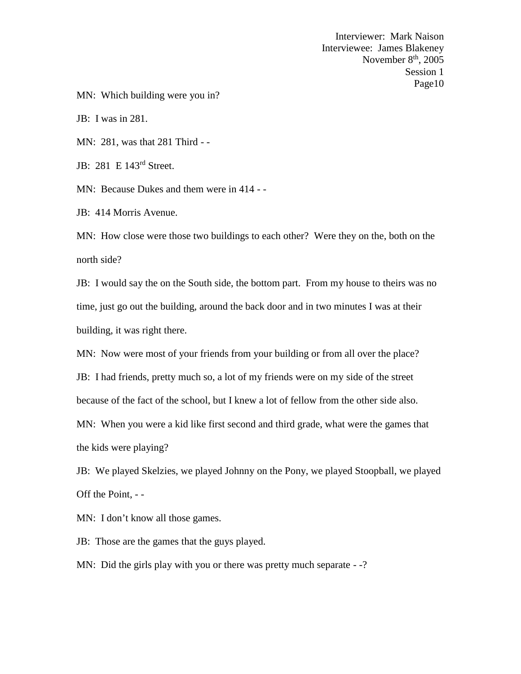MN: Which building were you in?

JB: I was in 281.

MN: 281, was that 281 Third - -

JB: 281 E 143<sup>rd</sup> Street.

MN: Because Dukes and them were in 414 - -<br>JB: 414 Morris Avenue.

MN: How close were those two buildings to each other? Were they on the, both on the north side?

JB: I would say the on the South side, the bottom part. From my house to theirs was no time, just go out the building, around the back door and in two minutes I was at their building, it was right there.

MN: Now were most of your friends from your building or from all over the place?

JB: I had friends, pretty much so, a lot of my friends were on my side of the street

because of the fact of the school, but I knew a lot of fellow from the other side also.

MN: When you were a kid like first second and third grade, what were the games that the kids were playing?

JB: We played Skelzies, we played Johnny on the Pony, we played Stoopball, we played Off the Point, - -

MN: I don't know all those games.

JB: Those are the games that the guys played.

MN: Did the girls play with you or there was pretty much separate --?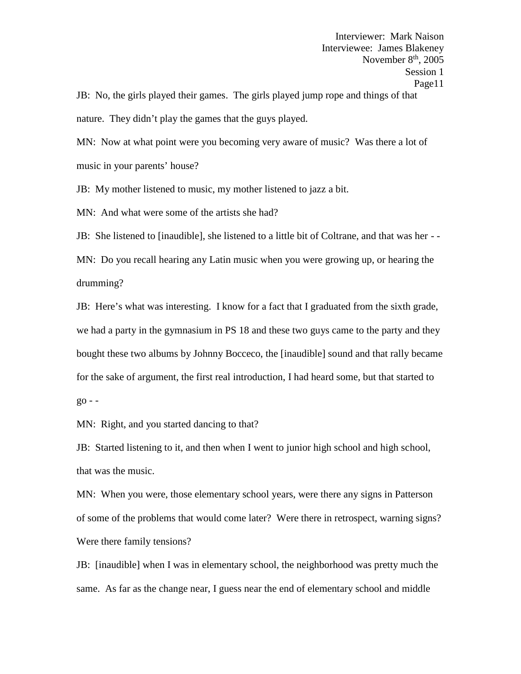Interviewer: Mark Naison Interviewee: James Blakeney November  $8<sup>th</sup>$ , 2005 Session 1 Page11 JB: No, the girls played their games. The girls played jump rope and things of that

nature. They didn't play the games that the guys played.

MN: Now at what point were you becoming very aware of music? Was there a lot of music in your parents' house?

JB: My mother listened to music, my mother listened to jazz a bit.

MN: And what were some of the artists she had?

JB: She listened to [inaudible], she listened to a little bit of Coltrane, and that was her - -

MN: Do you recall hearing any Latin music when you were growing up, or hearing the drumming?

JB: Here's what was interesting. I know for a fact that I graduated from the sixth grade, we had a party in the gymnasium in PS 18 and these two guys came to the party and they bought these two albums by Johnny Bocceco, the [inaudible] sound and that rally became for the sake of argument, the first real introduction, I had heard some, but that started to  $g_{0}$  - -

MN: Right, and you started dancing to that?

JB: Started listening to it, and then when I went to junior high school and high school, that was the music.

MN: When you were, those elementary school years, were there any signs in Patterson of some of the problems that would come later? Were there in retrospect, warning signs? Were there family tensions?

JB: [inaudible] when I was in elementary school, the neighborhood was pretty much the same. As far as the change near, I guess near the end of elementary school and middle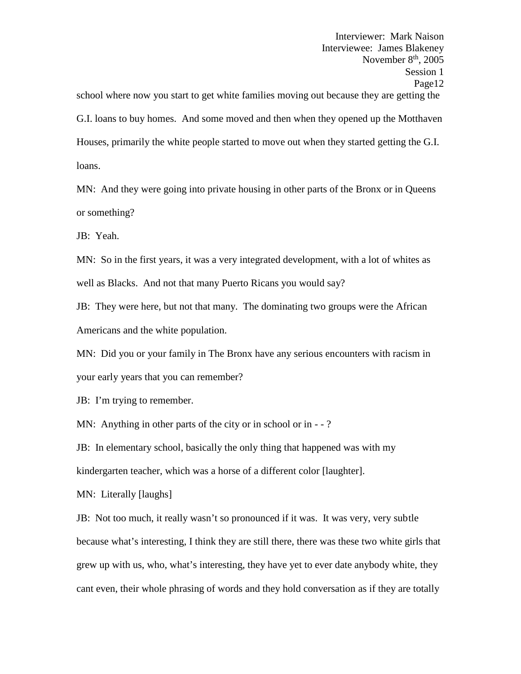Interviewer: Mark Naison Interviewee: James Blakeney November  $8<sup>th</sup>$ , 2005 Session 1 Page12 school where now you start to get white families moving out because they are getting the G.I. loans to buy homes. And some moved and then when they opened up the Motthaven Houses, primarily the white people started to move out when they started getting the G.I. loans.

MN: And they were going into private housing in other parts of the Bronx or in Queens or something?

JB: Yeah.

MN: So in the first years, it was a very integrated development, with a lot of whites as well as Blacks. And not that many Puerto Ricans you would say?

JB: They were here, but not that many. The dominating two groups were the African Americans and the white population.

MN: Did you or your family in The Bronx have any serious encounters with racism in your early years that you can remember?

JB: I'm trying to remember.

MN: Anything in other parts of the city or in school or in - -?

JB: In elementary school, basically the only thing that happened was with my kindergarten teacher, which was a horse of a different color [laughter].

MN: Literally [laughs]

JB: Not too much, it really wasn't so pronounced if it was. It was very, very subtle because what's interesting, I think they are still there, there was these two white girls that grew up with us, who, what's interesting, they have yet to ever date anybody white, they cant even, their whole phrasing of words and they hold conversation as if they are totally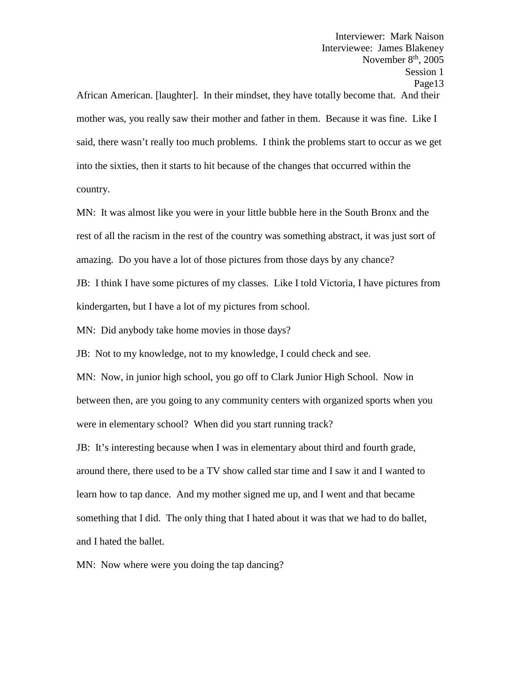Interviewer: Mark Naison Interviewee: James Blakeney November  $8<sup>th</sup>$ , 2005 Session 1 Page13 African American. [laughter]. In their mindset, they have totally become that. And their mother was, you really saw their mother and father in them. Because it was fine. Like I said, there wasn't really too much problems. I think the problems start to occur as we get into the sixties, then it starts to hit because of the changes that occurred within the country.

MN: It was almost like you were in your little bubble here in the South Bronx and the rest of all the racism in the rest of the country was something abstract, it was just sort of amazing. Do you have a lot of those pictures from those days by any chance?

JB: I think I have some pictures of my classes. Like I told Victoria, I have pictures from kindergarten, but I have a lot of my pictures from school.

MN: Did anybody take home movies in those days?

JB: Not to my knowledge, not to my knowledge, I could check and see.

MN: Now, in junior high school, you go off to Clark Junior High School. Now in between then, are you going to any community centers with organized sports when you were in elementary school? When did you start running track?

JB: It's interesting because when I was in elementary about third and fourth grade, around there, there used to be a TV show called star time and I saw it and I wanted to learn how to tap dance. And my mother signed me up, and I went and that became something that I did. The only thing that I hated about it was that we had to do ballet, and I hated the ballet.

MN: Now where were you doing the tap dancing?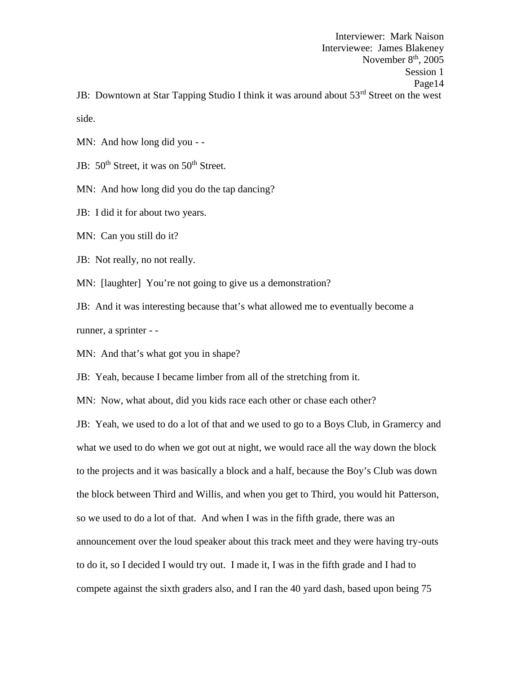Interviewer: Mark Naison Interviewee: James Blakeney November  $8<sup>th</sup>$ , 2005 Session 1 Page14 JB: Downtown at Star Tapping Studio I think it was around about 53<sup>rd</sup> Street on the west

side.

MN: And how long did you - -<br>JB: 50<sup>th</sup> Street, it was on 50<sup>th</sup> Street.

MN: And how long did you do the tap dancing?

JB: I did it for about two years.

MN: Can you still do it?

JB: Not really, no not really.

MN: [laughter] You're not going to give us a demonstration?

JB: And it was interesting because that's what allowed me to eventually become a runner, a sprinter - -

MN: And that's what got you in shape?

JB: Yeah, because I became limber from all of the stretching from it.

MN: Now, what about, did you kids race each other or chase each other?

JB: Yeah, we used to do a lot of that and we used to go to a Boys Club, in Gramercy and what we used to do when we got out at night, we would race all the way down the block to the projects and it was basically a block and a half, because the Boy's Club was down the block between Third and Willis, and when you get to Third, you would hit Patterson, so we used to do a lot of that. And when I was in the fifth grade, there was an announcement over the loud speaker about this track meet and they were having try-outs to do it, so I decided I would try out. I made it, I was in the fifth grade and I had to compete against the sixth graders also, and I ran the 40 yard dash, based upon being 75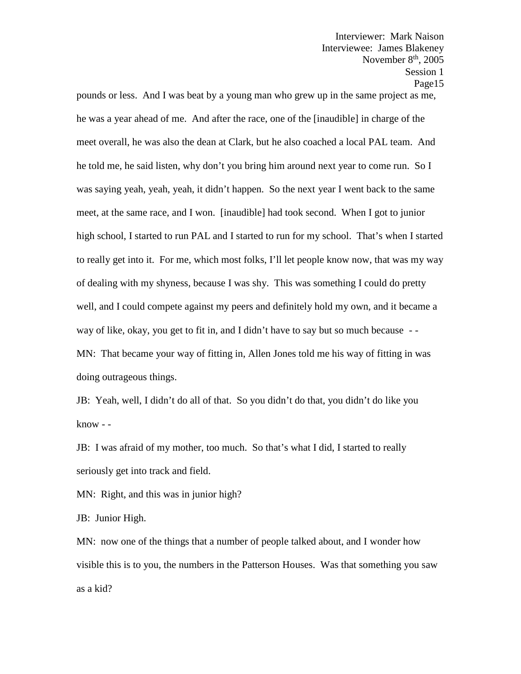pounds or less. And I was beat by a young man who grew up in the same project as me, he was a year ahead of me. And after the race, one of the [inaudible] in charge of the meet overall, he was also the dean at Clark, but he also coached a local PAL team. And he told me, he said listen, why don't you bring him around next year to come run. So I was saying yeah, yeah, yeah, it didn't happen. So the next year I went back to the same meet, at the same race, and I won. [inaudible] had took second. When I got to junior high school, I started to run PAL and I started to run for my school. That's when I started to really get into it. For me, which most folks, I'll let people know now, that was my way of dealing with my shyness, because I was shy. This was something I could do pretty well, and I could compete against my peers and definitely hold my own, and it became a way of like, okay, you get to fit in, and I didn't have to say but so much because - - MN: That became your way of fitting in, Allen Jones told me his way of fitting in was doing outrageous things.

JB: Yeah, well, I didn't do all of that. So you didn't do that, you didn't do like you know - -

JB: I was afraid of my mother, too much. So that's what I did, I started to really seriously get into track and field.

MN: Right, and this was in junior high?

JB: Junior High.

MN: now one of the things that a number of people talked about, and I wonder how visible this is to you, the numbers in the Patterson Houses. Was that something you saw as a kid?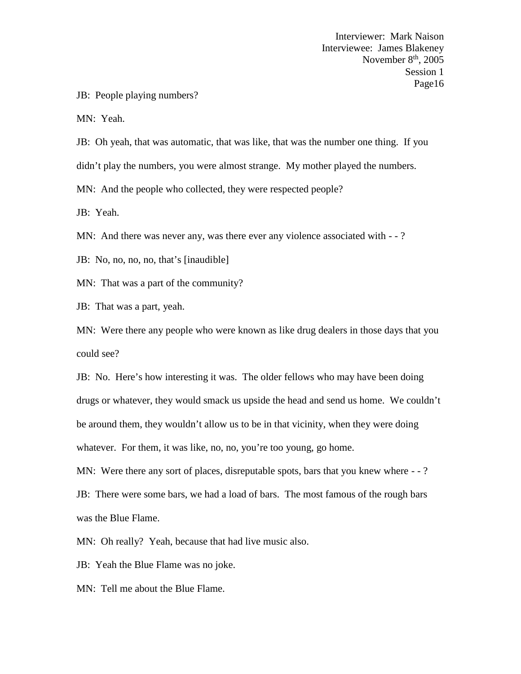JB: People playing numbers?

MN: Yeah.

JB: Oh yeah, that was automatic, that was like, that was the number one thing. If you didn't play the numbers, you were almost strange. My mother played the numbers.

MN: And the people who collected, they were respected people?

JB: Yeah.

MN: And there was never any, was there ever any violence associated with --?

JB: No, no, no, no, that's [inaudible]

MN: That was a part of the community?

JB: That was a part, yeah.

MN: Were there any people who were known as like drug dealers in those days that you could see?

JB: No. Here's how interesting it was. The older fellows who may have been doing drugs or whatever, they would smack us upside the head and send us home. We couldn't be around them, they wouldn't allow us to be in that vicinity, when they were doing whatever. For them, it was like, no, no, you're too young, go home.

MN: Were there any sort of places, disreputable spots, bars that you knew where  $-$  - ?

JB: There were some bars, we had a load of bars. The most famous of the rough bars was the Blue Flame.

MN: Oh really? Yeah, because that had live music also.

JB: Yeah the Blue Flame was no joke.

MN: Tell me about the Blue Flame.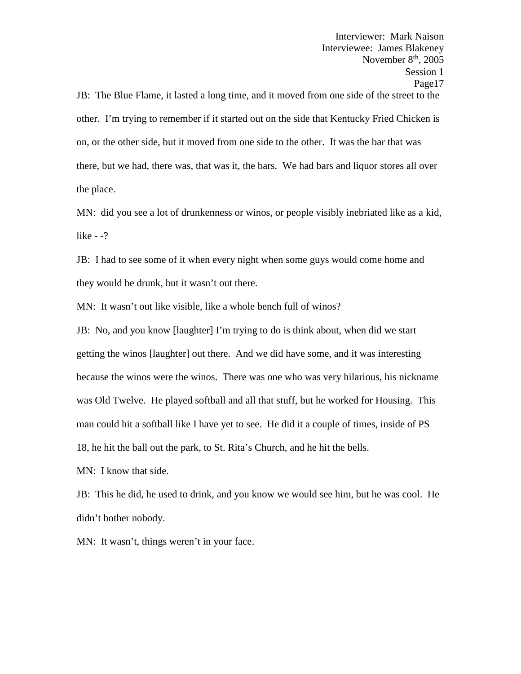Interviewer: Mark Naison Interviewee: James Blakeney November  $8<sup>th</sup>$ , 2005 Session 1 Page17 JB: The Blue Flame, it lasted a long time, and it moved from one side of the street to the other. I'm trying to remember if it started out on the side that Kentucky Fried Chicken is on, or the other side, but it moved from one side to the other. It was the bar that was there, but we had, there was, that was it, the bars. We had bars and liquor stores all over the place.

MN: did you see a lot of drunkenness or winos, or people visibly inebriated like as a kid, like - -?

JB: I had to see some of it when every night when some guys would come home and they would be drunk, but it wasn't out there.

MN: It wasn't out like visible, like a whole bench full of winos?

JB: No, and you know [laughter] I'm trying to do is think about, when did we start getting the winos [laughter] out there. And we did have some, and it was interesting because the winos were the winos. There was one who was very hilarious, his nickname was Old Twelve. He played softball and all that stuff, but he worked for Housing. This man could hit a softball like I have yet to see. He did it a couple of times, inside of PS 18, he hit the ball out the park, to St. Rita's Church, and he hit the bells.

MN: I know that side.

JB: This he did, he used to drink, and you know we would see him, but he was cool. He didn't bother nobody.

MN: It wasn't, things weren't in your face.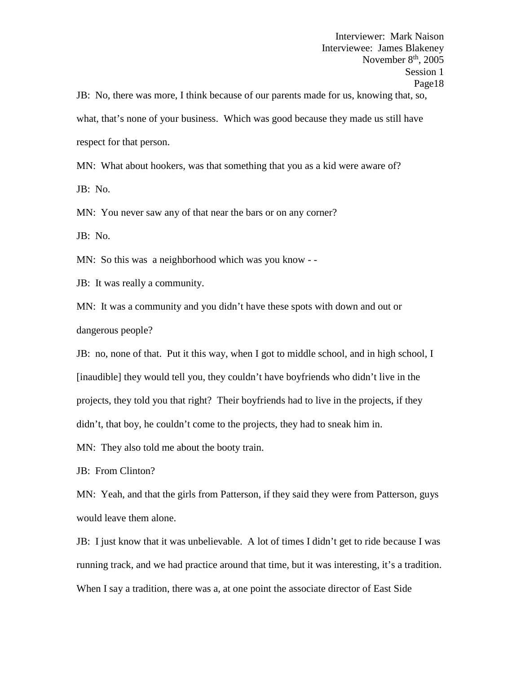JB: No, there was more, I think because of our parents made for us, knowing that, so, what, that's none of your business. Which was good because they made us still have respect for that person.

MN: What about hookers, was that something that you as a kid were aware of?

JB: No.

MN: You never saw any of that near the bars or on any corner?

JB: No.

MN: So this was a neighborhood which was you know - -

JB: It was really a community.

MN: It was a community and you didn't have these spots with down and out or dangerous people?

JB: no, none of that. Put it this way, when I got to middle school, and in high school, I [inaudible] they would tell you, they couldn't have boyfriends who didn't live in the projects, they told you that right? Their boyfriends had to live in the projects, if they didn't, that boy, he couldn't come to the projects, they had to sneak him in.

MN: They also told me about the booty train.

JB: From Clinton?

MN: Yeah, and that the girls from Patterson, if they said they were from Patterson, guys would leave them alone.

JB: I just know that it was unbelievable. A lot of times I didn't get to ride because I was running track, and we had practice around that time, but it was interesting, it's a tradition. When I say a tradition, there was a, at one point the associate director of East Side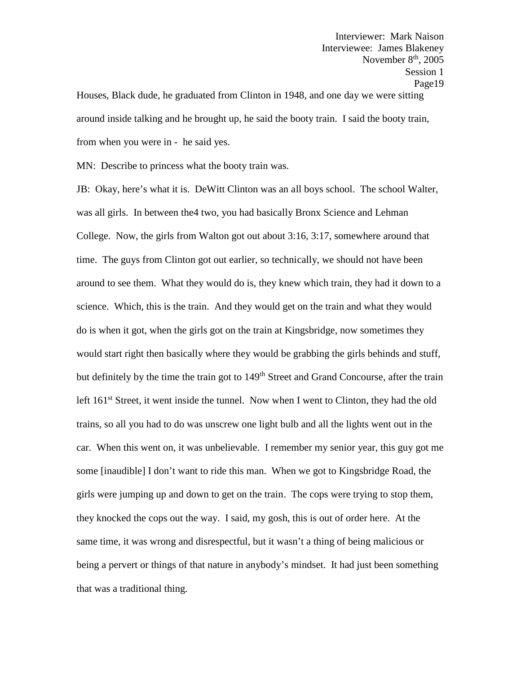Interviewer: Mark Naison Interviewee: James Blakeney November  $8<sup>th</sup>$ , 2005 Session 1 Page19 Houses, Black dude, he graduated from Clinton in 1948, and one day we were sitting around inside talking and he brought up, he said the booty train. I said the booty train, from when you were in - he said yes.

MN: Describe to princess what the booty train was.

JB: Okay, here's what it is. DeWitt Clinton was an all boys school. The school Walter, was all girls. In between the4 two, you had basically Bronx Science and Lehman College. Now, the girls from Walton got out about 3:16, 3:17, somewhere around that time. The guys from Clinton got out earlier, so technically, we should not have been around to see them. What they would do is, they knew which train, they had it down to a science. Which, this is the train. And they would get on the train and what they would do is when it got, when the girls got on the train at Kingsbridge, now sometimes they would start right then basically where they would be grabbing the girls behinds and stuff, but definitely by the time the train got to 149<sup>th</sup> Street and Grand Concourse, after the train left 161<sup>st</sup> Street, it went inside the tunnel. Now when I went to Clinton, they had the old trains, so all you had to do was unscrew one light bulb and all the lights went out in the car. When this went on, it was unbelievable. I remember my senior year, this guy got me some [inaudible] I don't want to ride this man. When we got to Kingsbridge Road, the girls were jumping up and down to get on the train. The cops were trying to stop them, they knocked the cops out the way. I said, my gosh, this is out of order here. At the same time, it was wrong and disrespectful, but it wasn't a thing of being malicious or being a pervert or things of that nature in anybody's mindset. It had just been something that was a traditional thing.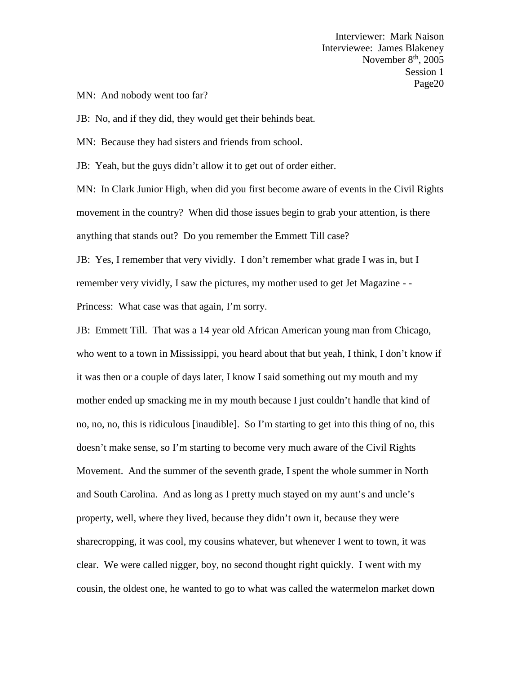MN: And nobody went too far?

JB: No, and if they did, they would get their behinds beat.

MN: Because they had sisters and friends from school.

JB: Yeah, but the guys didn't allow it to get out of order either.

MN: In Clark Junior High, when did you first become aware of events in the Civil Rights movement in the country? When did those issues begin to grab your attention, is there anything that stands out? Do you remember the Emmett Till case?

JB: Yes, I remember that very vividly. I don't remember what grade I was in, but I remember very vividly, I saw the pictures, my mother used to get Jet Magazine - -

Princess: What case was that again, I'm sorry.

JB: Emmett Till. That was a 14 year old African American young man from Chicago, who went to a town in Mississippi, you heard about that but yeah, I think, I don't know if it was then or a couple of days later, I know I said something out my mouth and my mother ended up smacking me in my mouth because I just couldn't handle that kind of no, no, no, this is ridiculous [inaudible]. So I'm starting to get into this thing of no, this doesn't make sense, so I'm starting to become very much aware of the Civil Rights Movement. And the summer of the seventh grade, I spent the whole summer in North and South Carolina. And as long as I pretty much stayed on my aunt's and uncle's property, well, where they lived, because they didn't own it, because they were sharecropping, it was cool, my cousins whatever, but whenever I went to town, it was clear. We were called nigger, boy, no second thought right quickly. I went with my cousin, the oldest one, he wanted to go to what was called the watermelon market down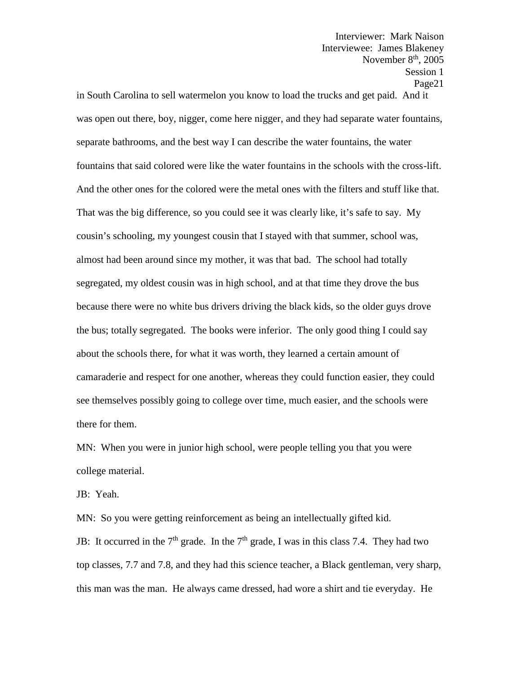in South Carolina to sell watermelon you know to load the trucks and get paid. And it was open out there, boy, nigger, come here nigger, and they had separate water fountains, separate bathrooms, and the best way I can describe the water fountains, the water fountains that said colored were like the water fountains in the schools with the cross-lift. And the other ones for the colored were the metal ones with the filters and stuff like that. That was the big difference, so you could see it was clearly like, it's safe to say. My cousin's schooling, my youngest cousin that I stayed with that summer, school was, almost had been around since my mother, it was that bad. The school had totally segregated, my oldest cousin was in high school, and at that time they drove the bus because there were no white bus drivers driving the black kids, so the older guys drove the bus; totally segregated. The books were inferior. The only good thing I could say about the schools there, for what it was worth, they learned a certain amount of camaraderie and respect for one another, whereas they could function easier, they could see themselves possibly going to college over time, much easier, and the schools were there for them.

MN: When you were in junior high school, were people telling you that you were college material.

JB: Yeah.

MN: So you were getting reinforcement as being an intellectually gifted kid. JB: It occurred in the  $7<sup>th</sup>$  grade. In the  $7<sup>th</sup>$  grade, I was in this class 7.4. They had two top classes, 7.7 and 7.8, and they had this science teacher, a Black gentleman, very sharp, this man was the man. He always came dressed, had wore a shirt and tie everyday. He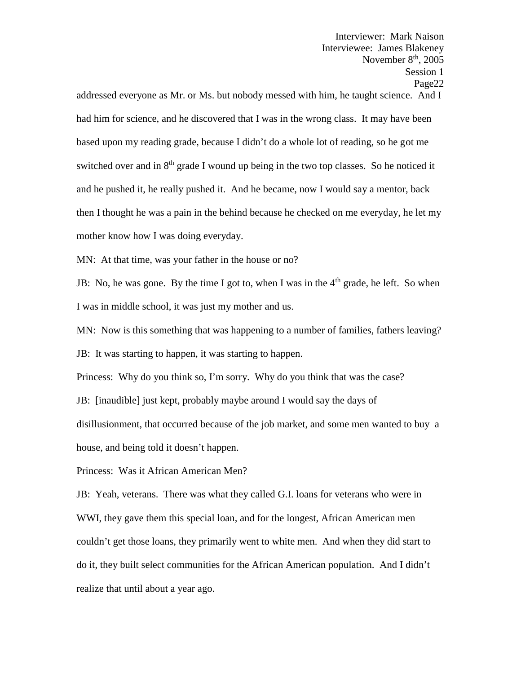November  $8<sup>th</sup>$ , 2005 Session 1 Page22 addressed everyone as Mr. or Ms. but nobody messed with him, he taught science. And I had him for science, and he discovered that I was in the wrong class. It may have been based upon my reading grade, because I didn't do a whole lot of reading, so he got me switched over and in  $8<sup>th</sup>$  grade I wound up being in the two top classes. So he noticed it and he pushed it, he really pushed it. And he became, now I would say a mentor, back then I thought he was a pain in the behind because he checked on me everyday, he let my mother know how I was doing everyday.

Interviewer: Mark Naison Interviewee: James Blakeney

MN: At that time, was your father in the house or no?

JB: No, he was gone. By the time I got to, when I was in the  $4<sup>th</sup>$  grade, he left. So when I was in middle school, it was just my mother and us.

MN: Now is this something that was happening to a number of families, fathers leaving? JB: It was starting to happen, it was starting to happen.

Princess: Why do you think so, I'm sorry. Why do you think that was the case?

JB: [inaudible] just kept, probably maybe around I would say the days of

disillusionment, that occurred because of the job market, and some men wanted to buy a house, and being told it doesn't happen.

Princess: Was it African American Men?

JB: Yeah, veterans. There was what they called G.I. loans for veterans who were in WWI, they gave them this special loan, and for the longest, African American men couldn't get those loans, they primarily went to white men. And when they did start to do it, they built select communities for the African American population. And I didn't realize that until about a year ago.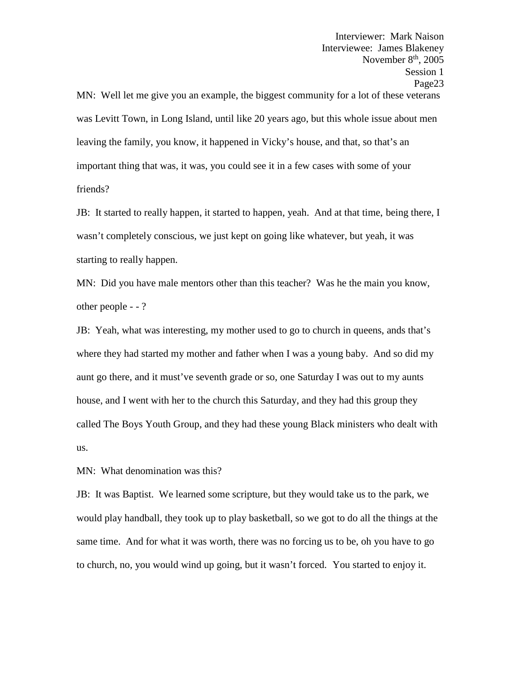Interviewer: Mark Naison Interviewee: James Blakeney November  $8<sup>th</sup>$ , 2005 Session 1 Page23 MN: Well let me give you an example, the biggest community for a lot of these veterans was Levitt Town, in Long Island, until like 20 years ago, but this whole issue about men leaving the family, you know, it happened in Vicky's house, and that, so that's an important thing that was, it was, you could see it in a few cases with some of your friends?

JB: It started to really happen, it started to happen, yeah. And at that time, being there, I wasn't completely conscious, we just kept on going like whatever, but yeah, it was starting to really happen.

MN: Did you have male mentors other than this teacher? Was he the main you know, other people - - ?

JB: Yeah, what was interesting, my mother used to go to church in queens, ands that's where they had started my mother and father when I was a young baby. And so did my aunt go there, and it must've seventh grade or so, one Saturday I was out to my aunts house, and I went with her to the church this Saturday, and they had this group they called The Boys Youth Group, and they had these young Black ministers who dealt with us.

MN: What denomination was this?

JB: It was Baptist. We learned some scripture, but they would take us to the park, we would play handball, they took up to play basketball, so we got to do all the things at the same time. And for what it was worth, there was no forcing us to be, oh you have to go to church, no, you would wind up going, but it wasn't forced. You started to enjoy it.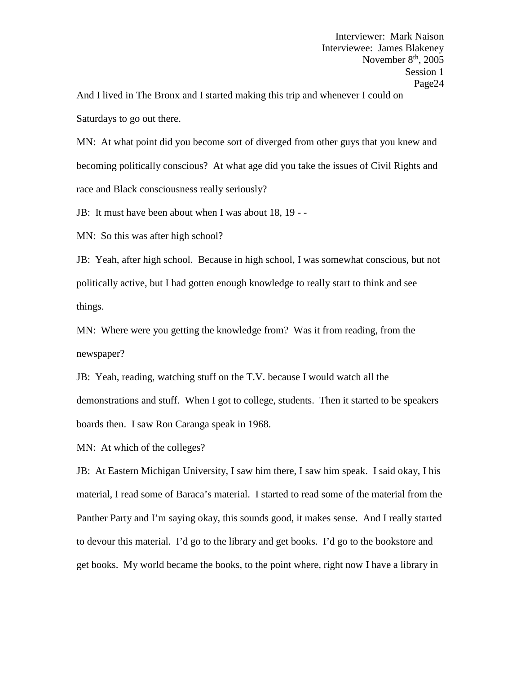And I lived in The Bronx and I started making this trip and whenever I could on Saturdays to go out there.

MN: At what point did you become sort of diverged from other guys that you knew and becoming politically conscious? At what age did you take the issues of Civil Rights and race and Black consciousness really seriously?

JB: It must have been about when I was about 18, 19 - -

MN: So this was after high school?

JB: Yeah, after high school. Because in high school, I was somewhat conscious, but not politically active, but I had gotten enough knowledge to really start to think and see things.

MN: Where were you getting the knowledge from? Was it from reading, from the newspaper?

JB: Yeah, reading, watching stuff on the T.V. because I would watch all the demonstrations and stuff. When I got to college, students. Then it started to be speakers boards then. I saw Ron Caranga speak in 1968.

MN: At which of the colleges?

JB: At Eastern Michigan University, I saw him there, I saw him speak. I said okay, I his material, I read some of Baraca's material. I started to read some of the material from the Panther Party and I'm saying okay, this sounds good, it makes sense. And I really started to devour this material. I'd go to the library and get books. I'd go to the bookstore and get books. My world became the books, to the point where, right now I have a library in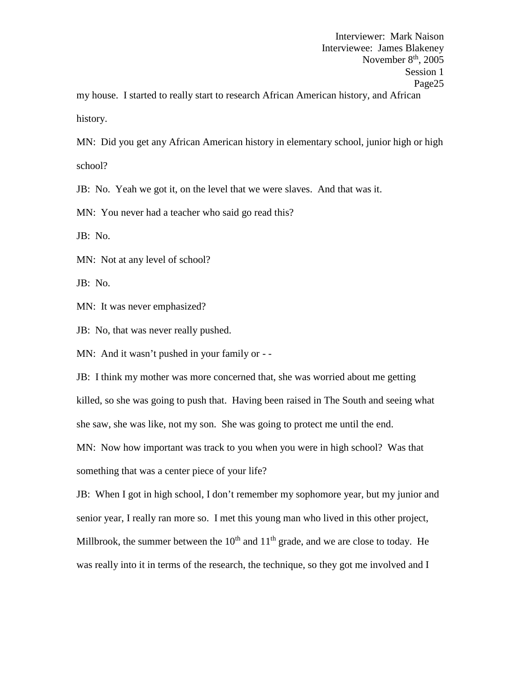MN: Did you get any African American history in elementary school, junior high or high school?

JB: No. Yeah we got it, on the level that we were slaves. And that was it.

MN: You never had a teacher who said go read this?

JB: No.

MN: Not at any level of school?

JB: No.

MN: It was never emphasized?

JB: No, that was never really pushed.

MN: And it wasn't pushed in your family or - -

JB: I think my mother was more concerned that, she was worried about me getting killed, so she was going to push that. Having been raised in The South and seeing what she saw, she was like, not my son. She was going to protect me until the end.

MN: Now how important was track to you when you were in high school? Was that something that was a center piece of your life?

JB: When I got in high school, I don't remember my sophomore year, but my junior and senior year, I really ran more so. I met this young man who lived in this other project, Millbrook, the summer between the  $10<sup>th</sup>$  and  $11<sup>th</sup>$  grade, and we are close to today. He was really into it in terms of the research, the technique, so they got me involved and I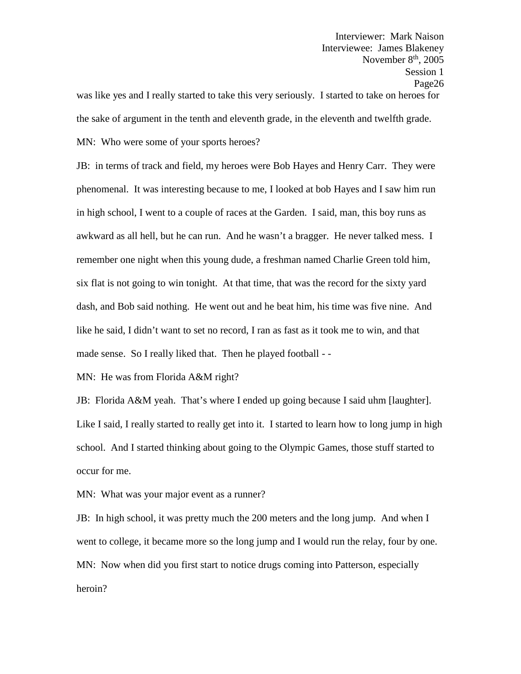Interviewer: Mark Naison Interviewee: James Blakeney November  $8<sup>th</sup>$ , 2005 Session 1 Page26 was like yes and I really started to take this very seriously. I started to take on heroes for the sake of argument in the tenth and eleventh grade, in the eleventh and twelfth grade.

MN: Who were some of your sports heroes?

JB: in terms of track and field, my heroes were Bob Hayes and Henry Carr. They were phenomenal. It was interesting because to me, I looked at bob Hayes and I saw him run in high school, I went to a couple of races at the Garden. I said, man, this boy runs as awkward as all hell, but he can run. And he wasn't a bragger. He never talked mess. I remember one night when this young dude, a freshman named Charlie Green told him, six flat is not going to win tonight. At that time, that was the record for the sixty yard dash, and Bob said nothing. He went out and he beat him, his time was five nine. And like he said, I didn't want to set no record, I ran as fast as it took me to win, and that made sense. So I really liked that. Then he played football - -

MN: He was from Florida A&M right?

JB: Florida A&M yeah. That's where I ended up going because I said uhm [laughter]. Like I said, I really started to really get into it. I started to learn how to long jump in high school. And I started thinking about going to the Olympic Games, those stuff started to occur for me.

MN: What was your major event as a runner?

JB: In high school, it was pretty much the 200 meters and the long jump. And when I went to college, it became more so the long jump and I would run the relay, four by one. MN: Now when did you first start to notice drugs coming into Patterson, especially heroin?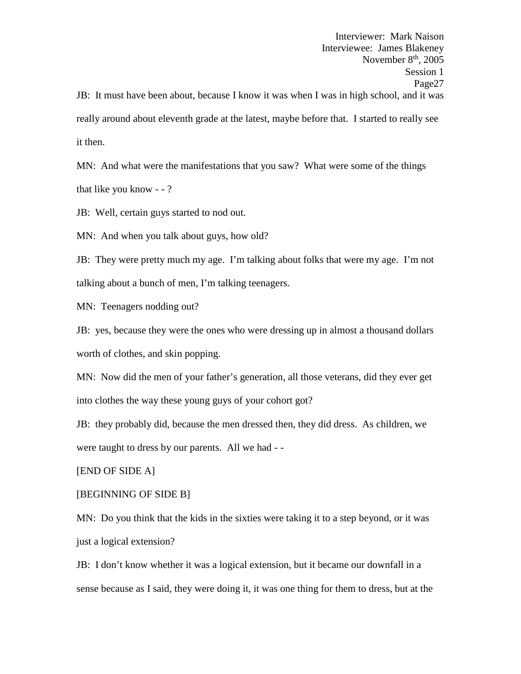Interviewer: Mark Naison Interviewee: James Blakeney November  $8<sup>th</sup>$ , 2005 Session 1 Page27 JB: It must have been about, because I know it was when I was in high school, and it was really around about eleventh grade at the latest, maybe before that. I started to really see it then.

MN: And what were the manifestations that you saw? What were some of the things that like you know - - ?

JB: Well, certain guys started to nod out.

MN: And when you talk about guys, how old?

JB: They were pretty much my age. I'm talking about folks that were my age. I'm not talking about a bunch of men, I'm talking teenagers.

MN: Teenagers nodding out?

JB: yes, because they were the ones who were dressing up in almost a thousand dollars worth of clothes, and skin popping.

MN: Now did the men of your father's generation, all those veterans, did they ever get into clothes the way these young guys of your cohort got?

JB: they probably did, because the men dressed then, they did dress. As children, we were taught to dress by our parents. All we had - -

[END OF SIDE A]

## [BEGINNING OF SIDE B]

MN: Do you think that the kids in the sixties were taking it to a step beyond, or it was just a logical extension?

JB: I don't know whether it was a logical extension, but it became our downfall in a sense because as I said, they were doing it, it was one thing for them to dress, but at the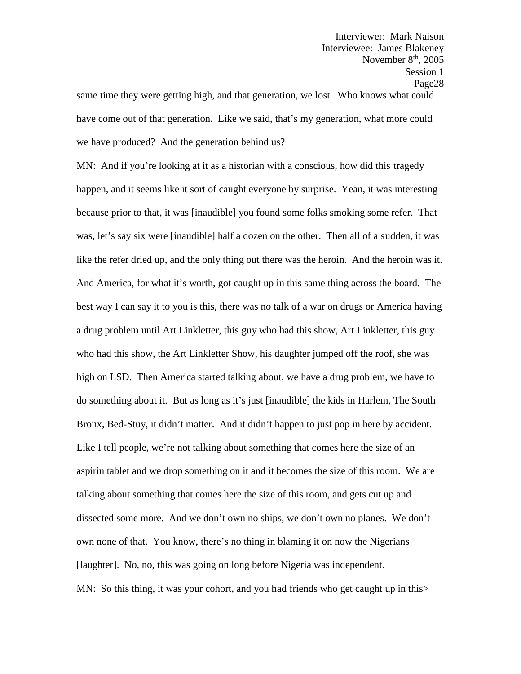same time they were getting high, and that generation, we lost. Who knows what could have come out of that generation. Like we said, that's my generation, what more could we have produced? And the generation behind us?

MN: And if you're looking at it as a historian with a conscious, how did this tragedy happen, and it seems like it sort of caught everyone by surprise. Yean, it was interesting because prior to that, it was [inaudible] you found some folks smoking some refer. That was, let's say six were [inaudible] half a dozen on the other. Then all of a sudden, it was like the refer dried up, and the only thing out there was the heroin. And the heroin was it. And America, for what it's worth, got caught up in this same thing across the board. The best way I can say it to you is this, there was no talk of a war on drugs or America having a drug problem until Art Linkletter, this guy who had this show, Art Linkletter, this guy who had this show, the Art Linkletter Show, his daughter jumped off the roof, she was high on LSD. Then America started talking about, we have a drug problem, we have to do something about it. But as long as it's just [inaudible] the kids in Harlem, The South Bronx, Bed-Stuy, it didn't matter. And it didn't happen to just pop in here by accident. Like I tell people, we're not talking about something that comes here the size of an aspirin tablet and we drop something on it and it becomes the size of this room. We are talking about something that comes here the size of this room, and gets cut up and dissected some more. And we don't own no ships, we don't own no planes. We don't own none of that. You know, there's no thing in blaming it on now the Nigerians [laughter]. No, no, this was going on long before Nigeria was independent. MN: So this thing, it was your cohort, and you had friends who get caught up in this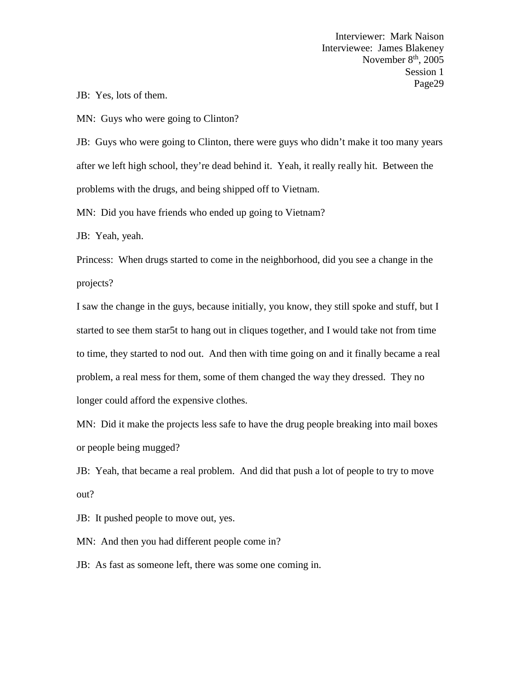JB: Yes, lots of them.

MN: Guys who were going to Clinton?

JB: Guys who were going to Clinton, there were guys who didn't make it too many years after we left high school, they're dead behind it. Yeah, it really really hit. Between the problems with the drugs, and being shipped off to Vietnam.

MN: Did you have friends who ended up going to Vietnam?

JB: Yeah, yeah.

Princess: When drugs started to come in the neighborhood, did you see a change in the projects?

I saw the change in the guys, because initially, you know, they still spoke and stuff, but I started to see them star5t to hang out in cliques together, and I would take not from time to time, they started to nod out. And then with time going on and it finally became a real problem, a real mess for them, some of them changed the way they dressed. They no longer could afford the expensive clothes.

MN: Did it make the projects less safe to have the drug people breaking into mail boxes or people being mugged?

JB: Yeah, that became a real problem. And did that push a lot of people to try to move out?

JB: It pushed people to move out, yes.

MN: And then you had different people come in?

JB: As fast as someone left, there was some one coming in.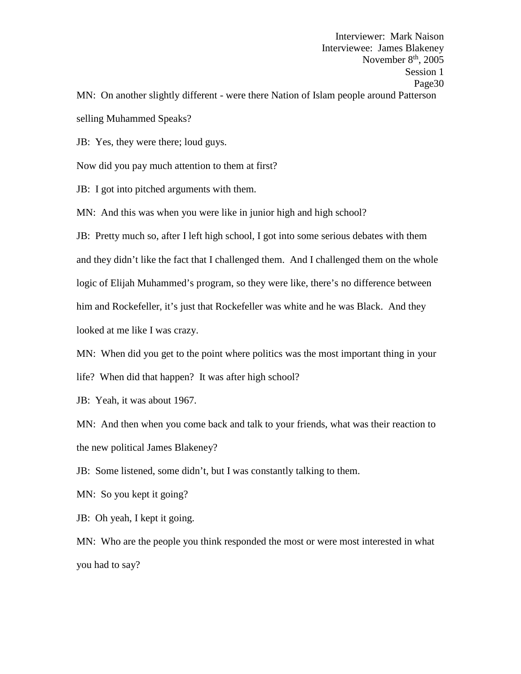Interviewer: Mark Naison Interviewee: James Blakeney November  $8<sup>th</sup>$ , 2005 Session 1 Page30 MN: On another slightly different - were there Nation of Islam people around Patterson

selling Muhammed Speaks?

JB: Yes, they were there; loud guys.

Now did you pay much attention to them at first?

JB: I got into pitched arguments with them.

MN: And this was when you were like in junior high and high school?

JB: Pretty much so, after I left high school, I got into some serious debates with them and they didn't like the fact that I challenged them. And I challenged them on the whole logic of Elijah Muhammed's program, so they were like, there's no difference between him and Rockefeller, it's just that Rockefeller was white and he was Black. And they looked at me like I was crazy.

MN: When did you get to the point where politics was the most important thing in your

life? When did that happen? It was after high school?

JB: Yeah, it was about 1967.

MN: And then when you come back and talk to your friends, what was their reaction to the new political James Blakeney?

JB: Some listened, some didn't, but I was constantly talking to them.

MN: So you kept it going?

JB: Oh yeah, I kept it going.

MN: Who are the people you think responded the most or were most interested in what you had to say?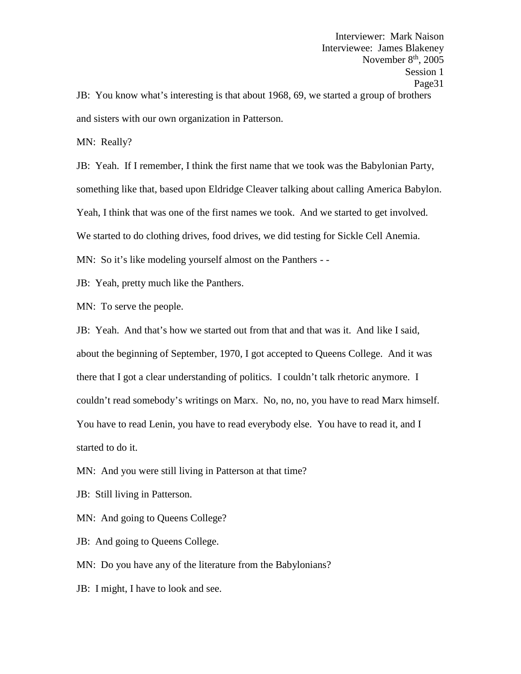Interviewer: Mark Naison Interviewee: James Blakeney November  $8<sup>th</sup>$ , 2005 Session 1 Page31 JB: You know what's interesting is that about 1968, 69, we started a group of brothers

and sisters with our own organization in Patterson.

MN: Really?

JB: Yeah. If I remember, I think the first name that we took was the Babylonian Party, something like that, based upon Eldridge Cleaver talking about calling America Babylon. Yeah, I think that was one of the first names we took. And we started to get involved. We started to do clothing drives, food drives, we did testing for Sickle Cell Anemia. MN: So it's like modeling yourself almost on the Panthers - -

JB: Yeah, pretty much like the Panthers.

MN: To serve the people.

JB: Yeah. And that's how we started out from that and that was it. And like I said, about the beginning of September, 1970, I got accepted to Queens College. And it was there that I got a clear understanding of politics. I couldn't talk rhetoric anymore. I couldn't read somebody's writings on Marx. No, no, no, you have to read Marx himself. You have to read Lenin, you have to read everybody else. You have to read it, and I started to do it.

MN: And you were still living in Patterson at that time?

JB: Still living in Patterson.

MN: And going to Queens College?

JB: And going to Queens College.

MN: Do you have any of the literature from the Babylonians?

JB: I might, I have to look and see.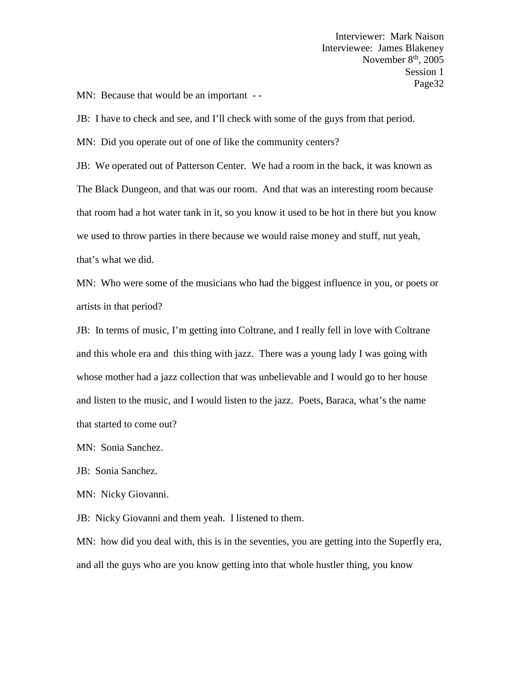MN: Because that would be an important --

JB: I have to check and see, and I'll check with some of the guys from that period.

MN: Did you operate out of one of like the community centers?

JB: We operated out of Patterson Center. We had a room in the back, it was known as The Black Dungeon, and that was our room. And that was an interesting room because that room had a hot water tank in it, so you know it used to be hot in there but you know we used to throw parties in there because we would raise money and stuff, nut yeah, that's what we did.

MN: Who were some of the musicians who had the biggest influence in you, or poets or artists in that period?

JB: In terms of music, I'm getting into Coltrane, and I really fell in love with Coltrane and this whole era and this thing with jazz. There was a young lady I was going with whose mother had a jazz collection that was unbelievable and I would go to her house and listen to the music, and I would listen to the jazz. Poets, Baraca, what's the name that started to come out?

MN: Sonia Sanchez.

JB: Sonia Sanchez.

MN: Nicky Giovanni.

JB: Nicky Giovanni and them yeah. I listened to them.

MN: how did you deal with, this is in the seventies, you are getting into the Superfly era, and all the guys who are you know getting into that whole hustler thing, you know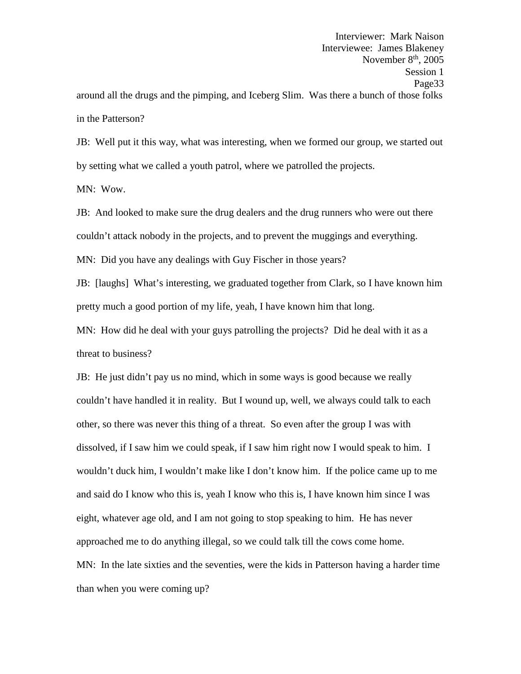JB: Well put it this way, what was interesting, when we formed our group, we started out by setting what we called a youth patrol, where we patrolled the projects.

MN: Wow.

JB: And looked to make sure the drug dealers and the drug runners who were out there couldn't attack nobody in the projects, and to prevent the muggings and everything.

MN: Did you have any dealings with Guy Fischer in those years?

JB: [laughs] What's interesting, we graduated together from Clark, so I have known him pretty much a good portion of my life, yeah, I have known him that long.

MN: How did he deal with your guys patrolling the projects? Did he deal with it as a threat to business?

JB: He just didn't pay us no mind, which in some ways is good because we really couldn't have handled it in reality. But I wound up, well, we always could talk to each other, so there was never this thing of a threat. So even after the group I was with dissolved, if I saw him we could speak, if I saw him right now I would speak to him. I wouldn't duck him, I wouldn't make like I don't know him. If the police came up to me and said do I know who this is, yeah I know who this is, I have known him since I was eight, whatever age old, and I am not going to stop speaking to him. He has never approached me to do anything illegal, so we could talk till the cows come home. MN: In the late sixties and the seventies, were the kids in Patterson having a harder time than when you were coming up?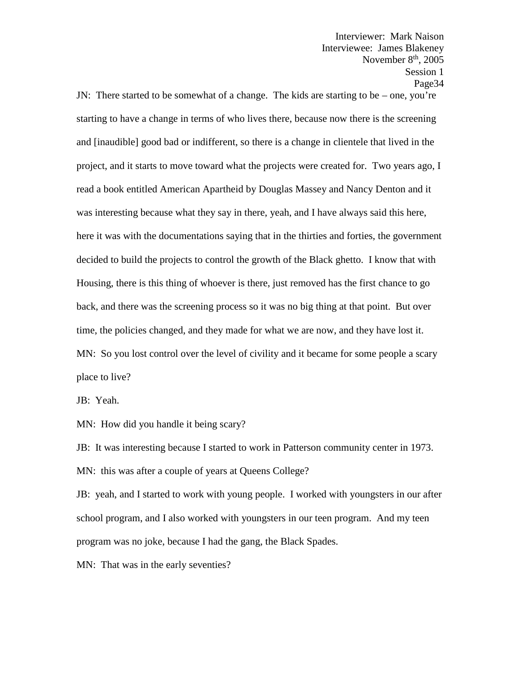JN: There started to be somewhat of a change. The kids are starting to be – one, you're starting to have a change in terms of who lives there, because now there is the screening and [inaudible] good bad or indifferent, so there is a change in clientele that lived in the project, and it starts to move toward what the projects were created for. Two years ago, I read a book entitled American Apartheid by Douglas Massey and Nancy Denton and it was interesting because what they say in there, yeah, and I have always said this here, here it was with the documentations saying that in the thirties and forties, the government decided to build the projects to control the growth of the Black ghetto. I know that with Housing, there is this thing of whoever is there, just removed has the first chance to go back, and there was the screening process so it was no big thing at that point. But over time, the policies changed, and they made for what we are now, and they have lost it. MN: So you lost control over the level of civility and it became for some people a scary place to live?

JB: Yeah.

MN: How did you handle it being scary?

JB: It was interesting because I started to work in Patterson community center in 1973. MN: this was after a couple of years at Queens College?

JB: yeah, and I started to work with young people. I worked with youngsters in our after school program, and I also worked with youngsters in our teen program. And my teen program was no joke, because I had the gang, the Black Spades.

MN: That was in the early seventies?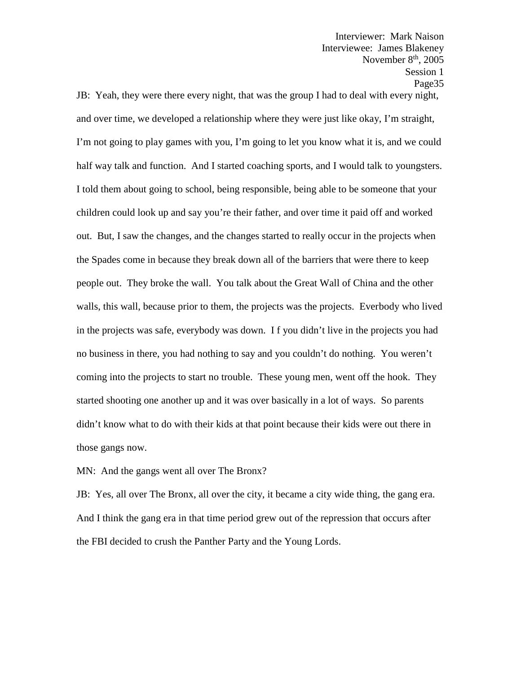JB: Yeah, they were there every night, that was the group I had to deal with every night, and over time, we developed a relationship where they were just like okay, I'm straight, I'm not going to play games with you, I'm going to let you know what it is, and we could half way talk and function. And I started coaching sports, and I would talk to youngsters. I told them about going to school, being responsible, being able to be someone that your children could look up and say you're their father, and over time it paid off and worked out. But, I saw the changes, and the changes started to really occur in the projects when the Spades come in because they break down all of the barriers that were there to keep people out. They broke the wall. You talk about the Great Wall of China and the other walls, this wall, because prior to them, the projects was the projects. Everbody who lived in the projects was safe, everybody was down. I f you didn't live in the projects you had no business in there, you had nothing to say and you couldn't do nothing. You weren't coming into the projects to start no trouble. These young men, went off the hook. They started shooting one another up and it was over basically in a lot of ways. So parents didn't know what to do with their kids at that point because their kids were out there in those gangs now.

MN: And the gangs went all over The Bronx?

JB: Yes, all over The Bronx, all over the city, it became a city wide thing, the gang era. And I think the gang era in that time period grew out of the repression that occurs after the FBI decided to crush the Panther Party and the Young Lords.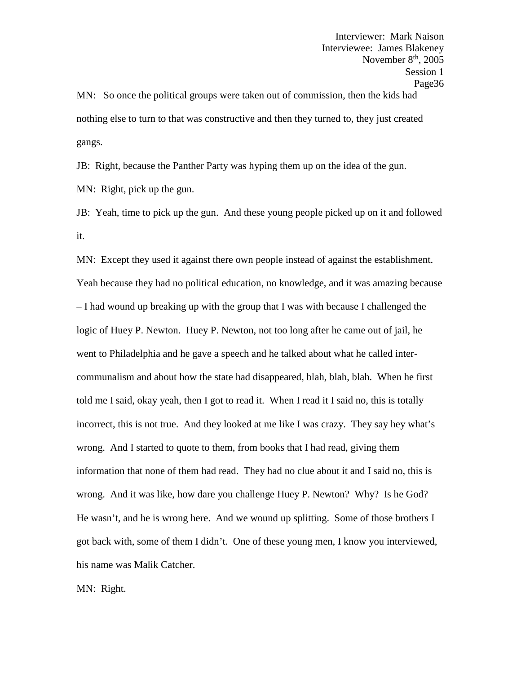Interviewer: Mark Naison Interviewee: James Blakeney November  $8<sup>th</sup>$ , 2005 Session 1 Page36 MN: So once the political groups were taken out of commission, then the kids had nothing else to turn to that was constructive and then they turned to, they just created gangs.

JB: Right, because the Panther Party was hyping them up on the idea of the gun.

MN: Right, pick up the gun.

JB: Yeah, time to pick up the gun. And these young people picked up on it and followed it.

MN: Except they used it against there own people instead of against the establishment. Yeah because they had no political education, no knowledge, and it was amazing because – I had wound up breaking up with the group that I was with because I challenged the logic of Huey P. Newton. Huey P. Newton, not too long after he came out of jail, he went to Philadelphia and he gave a speech and he talked about what he called inter communalism and about how the state had disappeared, blah, blah, blah. When he first told me I said, okay yeah, then I got to read it. When I read it I said no, this is totally incorrect, this is not true. And they looked at me like I was crazy. They say hey what's wrong. And I started to quote to them, from books that I had read, giving them information that none of them had read. They had no clue about it and I said no, this is wrong. And it was like, how dare you challenge Huey P. Newton? Why? Is he God? He wasn't, and he is wrong here. And we wound up splitting. Some of those brothers I got back with, some of them I didn't. One of these young men, I know you interviewed, his name was Malik Catcher.

MN: Right.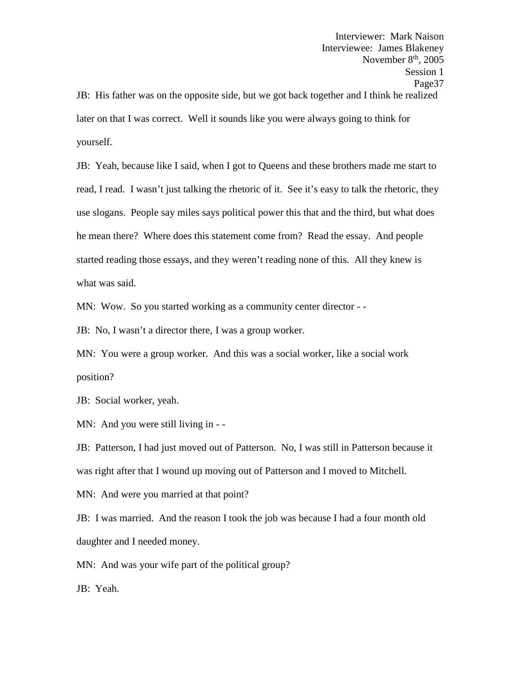Interviewer: Mark Naison Interviewee: James Blakeney November  $8<sup>th</sup>$ , 2005 Session 1 Page37 JB: His father was on the opposite side, but we got back together and I think he realized later on that I was correct. Well it sounds like you were always going to think for yourself.

JB: Yeah, because like I said, when I got to Queens and these brothers made me start to read, I read. I wasn't just talking the rhetoric of it. See it's easy to talk the rhetoric, they use slogans. People say miles says political power this that and the third, but what does he mean there? Where does this statement come from? Read the essay. And people started reading those essays, and they weren't reading none of this. All they knew is what was said.

MN: Wow. So you started working as a community center director - -

JB: No, I wasn't a director there, I was a group worker.

MN: You were a group worker. And this was a social worker, like a social work position?

JB: Social worker, yeah.

MN: And you were still living in --

JB: Patterson, I had just moved out of Patterson. No, I was still in Patterson because it was right after that I wound up moving out of Patterson and I moved to Mitchell.

MN: And were you married at that point?

JB: I was married. And the reason I took the job was because I had a four month old daughter and I needed money.

MN: And was your wife part of the political group?

JB: Yeah.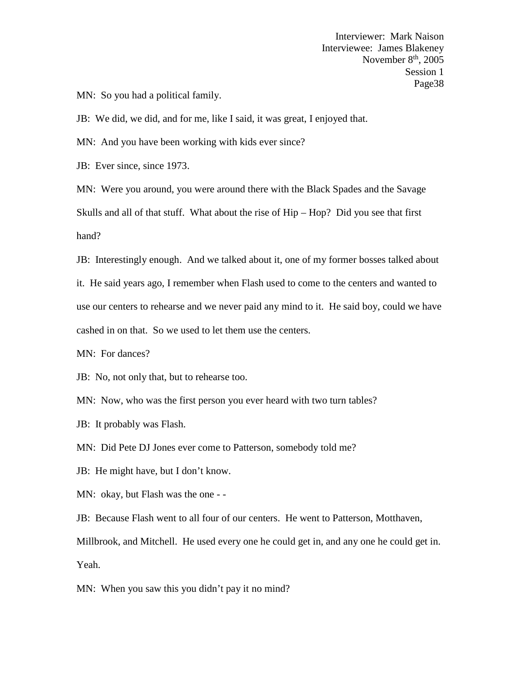MN: So you had a political family.

JB: We did, we did, and for me, like I said, it was great, I enjoyed that.

MN: And you have been working with kids ever since?

JB: Ever since, since 1973.

MN: Were you around, you were around there with the Black Spades and the Savage Skulls and all of that stuff. What about the rise of Hip – Hop? Did you see that first hand?

JB: Interestingly enough. And we talked about it, one of my former bosses talked about it. He said years ago, I remember when Flash used to come to the centers and wanted to use our centers to rehearse and we never paid any mind to it. He said boy, could we have cashed in on that. So we used to let them use the centers.

MN: For dances?

JB: No, not only that, but to rehearse too.

MN: Now, who was the first person you ever heard with two turn tables?

JB: It probably was Flash.

MN: Did Pete DJ Jones ever come to Patterson, somebody told me?

JB: He might have, but I don't know.

MN: okay, but Flash was the one - -

JB: Because Flash went to all four of our centers. He went to Patterson, Motthaven,

Millbrook, and Mitchell. He used every one he could get in, and any one he could get in. Yeah.

MN: When you saw this you didn't pay it no mind?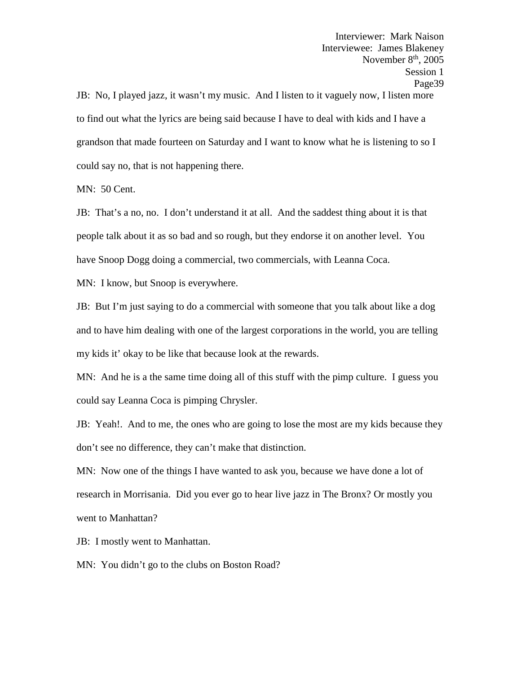JB: No, I played jazz, it wasn't my music. And I listen to it vaguely now, I listen more to find out what the lyrics are being said because I have to deal with kids and I have a grandson that made fourteen on Saturday and I want to know what he is listening to so I could say no, that is not happening there.

MN: 50 Cent.

JB: That's a no, no. I don't understand it at all. And the saddest thing about it is that people talk about it as so bad and so rough, but they endorse it on another level. You have Snoop Dogg doing a commercial, two commercials, with Leanna Coca.

MN: I know, but Snoop is everywhere.

JB: But I'm just saying to do a commercial with someone that you talk about like a dog and to have him dealing with one of the largest corporations in the world, you are telling my kids it' okay to be like that because look at the rewards.

MN: And he is a the same time doing all of this stuff with the pimp culture. I guess you could say Leanna Coca is pimping Chrysler.

JB: Yeah!. And to me, the ones who are going to lose the most are my kids because they don't see no difference, they can't make that distinction.

MN: Now one of the things I have wanted to ask you, because we have done a lot of research in Morrisania. Did you ever go to hear live jazz in The Bronx? Or mostly you went to Manhattan?

JB: I mostly went to Manhattan.

MN: You didn't go to the clubs on Boston Road?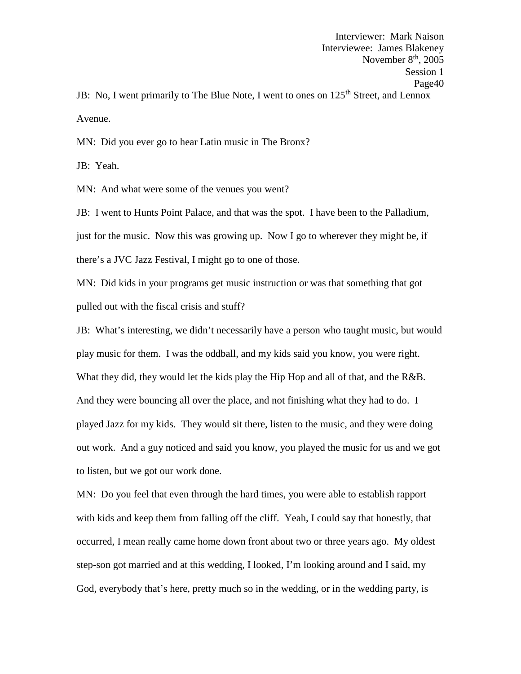Avenue.

MN: Did you ever go to hear Latin music in The Bronx?

JB: Yeah.

MN: And what were some of the venues you went?

JB: I went to Hunts Point Palace, and that was the spot. I have been to the Palladium, just for the music. Now this was growing up. Now I go to wherever they might be, if there's a JVC Jazz Festival, I might go to one of those.

MN: Did kids in your programs get music instruction or was that something that got pulled out with the fiscal crisis and stuff?

JB: What's interesting, we didn't necessarily have a person who taught music, but would play music for them. I was the oddball, and my kids said you know, you were right. What they did, they would let the kids play the Hip Hop and all of that, and the R&B. And they were bouncing all over the place, and not finishing what they had to do. I played Jazz for my kids. They would sit there, listen to the music, and they were doing out work. And a guy noticed and said you know, you played the music for us and we got to listen, but we got our work done.

MN: Do you feel that even through the hard times, you were able to establish rapport with kids and keep them from falling off the cliff. Yeah, I could say that honestly, that occurred, I mean really came home down front about two or three years ago. My oldest step-son got married and at this wedding, I looked, I'm looking around and I said, my God, everybody that's here, pretty much so in the wedding, or in the wedding party, is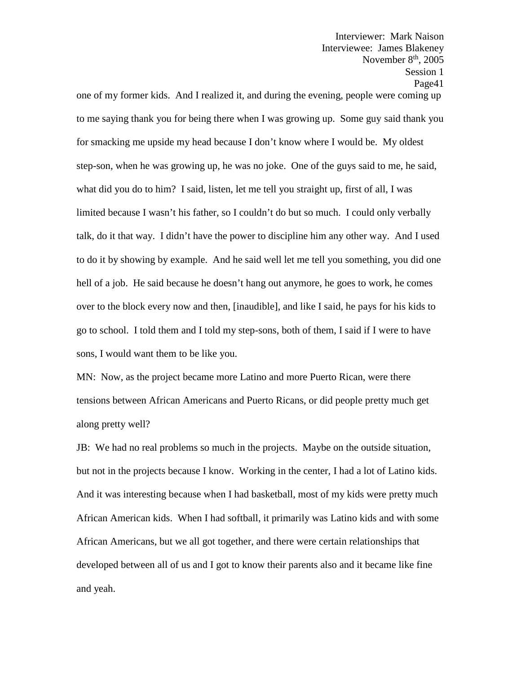November  $8<sup>th</sup>$ , 2005 Session 1 Page41 one of my former kids. And I realized it, and during the evening, people were coming up to me saying thank you for being there when I was growing up. Some guy said thank you for smacking me upside my head because I don't know where I would be. My oldest step-son, when he was growing up, he was no joke. One of the guys said to me, he said, what did you do to him? I said, listen, let me tell you straight up, first of all, I was limited because I wasn't his father, so I couldn't do but so much. I could only verbally talk, do it that way. I didn't have the power to discipline him any other way. And I used to do it by showing by example. And he said well let me tell you something, you did one hell of a job. He said because he doesn't hang out anymore, he goes to work, he comes over to the block every now and then, [inaudible], and like I said, he pays for his kids to go to school. I told them and I told my step-sons, both of them, I said if I were to have sons, I would want them to be like you.

Interviewer: Mark Naison Interviewee: James Blakeney

MN: Now, as the project became more Latino and more Puerto Rican, were there tensions between African Americans and Puerto Ricans, or did people pretty much get along pretty well?

JB: We had no real problems so much in the projects. Maybe on the outside situation, but not in the projects because I know. Working in the center, I had a lot of Latino kids. And it was interesting because when I had basketball, most of my kids were pretty much African American kids. When I had softball, it primarily was Latino kids and with some African Americans, but we all got together, and there were certain relationships that developed between all of us and I got to know their parents also and it became like fine and yeah.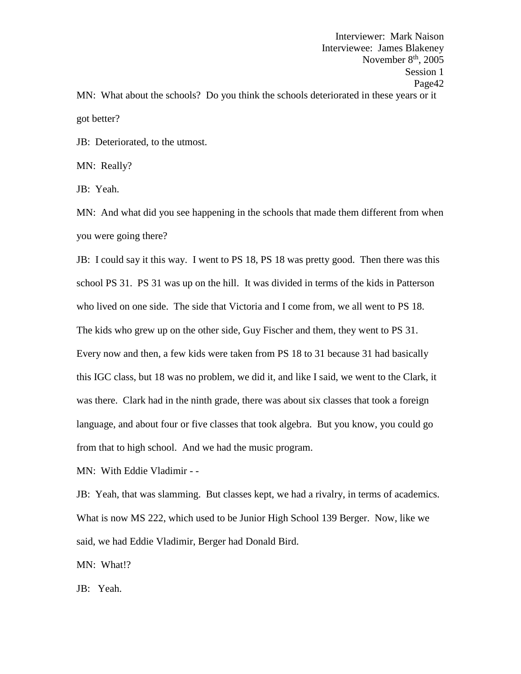Interviewer: Mark Naison Interviewee: James Blakeney November  $8<sup>th</sup>$ , 2005 Session 1 Page42 MN: What about the schools? Do you think the schools deteriorated in these years or it got better?

JB: Deteriorated, to the utmost.

MN: Really?

JB: Yeah.

MN: And what did you see happening in the schools that made them different from when you were going there?

JB: I could say it this way. I went to PS 18, PS 18 was pretty good. Then there was this school PS 31. PS 31 was up on the hill. It was divided in terms of the kids in Patterson who lived on one side. The side that Victoria and I come from, we all went to PS 18. The kids who grew up on the other side, Guy Fischer and them, they went to PS 31. Every now and then, a few kids were taken from PS 18 to 31 because 31 had basically this IGC class, but 18 was no problem, we did it, and like I said, we went to the Clark, it was there. Clark had in the ninth grade, there was about six classes that took a foreign language, and about four or five classes that took algebra. But you know, you could go from that to high school. And we had the music program.

MN: With Eddie Vladimir - -

JB: Yeah, that was slamming. But classes kept, we had a rivalry, in terms of academics. What is now MS 222, which used to be Junior High School 139 Berger. Now, like we said, we had Eddie Vladimir, Berger had Donald Bird.

MN: What!?

JB: Yeah.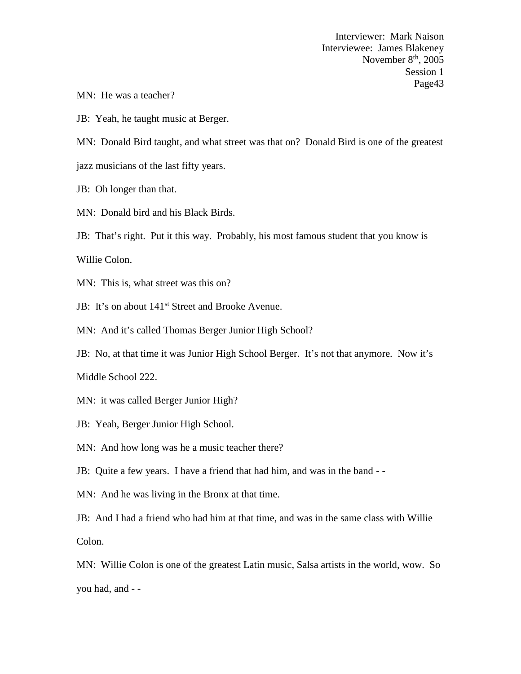MN: He was a teacher?

JB: Yeah, he taught music at Berger.

MN: Donald Bird taught, and what street was that on? Donald Bird is one of the greatest

jazz musicians of the last fifty years.

JB: Oh longer than that.

MN: Donald bird and his Black Birds.

JB: That's right. Put it this way. Probably, his most famous student that you know is

Willie Colon.

MN: This is, what street was this on?

JB: It's on about 141<sup>st</sup> Street and Brooke Avenue.

MN: And it's called Thomas Berger Junior High School?

JB: No, at that time it was Junior High School Berger. It's not that anymore. Now it's

Middle School 222.

MN: it was called Berger Junior High?

JB: Yeah, Berger Junior High School.

MN: And how long was he a music teacher there?

JB: Quite a few years. I have a friend that had him, and was in the band - -

MN: And he was living in the Bronx at that time.

JB: And I had a friend who had him at that time, and was in the same class with Willie Colon.

MN: Willie Colon is one of the greatest Latin music, Salsa artists in the world, wow. So you had, and - -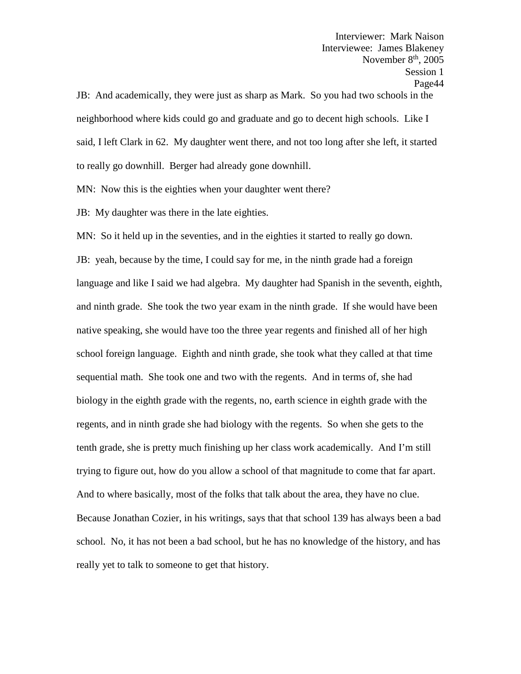Interviewer: Mark Naison Interviewee: James Blakeney November  $8<sup>th</sup>$ , 2005 Session 1 Page44 JB: And academically, they were just as sharp as Mark. So you had two schools in the neighborhood where kids could go and graduate and go to decent high schools. Like I said, I left Clark in 62. My daughter went there, and not too long after she left, it started to really go downhill. Berger had already gone downhill.

MN: Now this is the eighties when your daughter went there?

JB: My daughter was there in the late eighties.

MN: So it held up in the seventies, and in the eighties it started to really go down. JB: yeah, because by the time, I could say for me, in the ninth grade had a foreign language and like I said we had algebra. My daughter had Spanish in the seventh, eighth, and ninth grade. She took the two year exam in the ninth grade. If she would have been native speaking, she would have too the three year regents and finished all of her high school foreign language. Eighth and ninth grade, she took what they called at that time sequential math. She took one and two with the regents. And in terms of, she had biology in the eighth grade with the regents, no, earth science in eighth grade with the regents, and in ninth grade she had biology with the regents. So when she gets to the tenth grade, she is pretty much finishing up her class work academically. And I'm still trying to figure out, how do you allow a school of that magnitude to come that far apart. And to where basically, most of the folks that talk about the area, they have no clue. Because Jonathan Cozier, in his writings, says that that school 139 has always been a bad school. No, it has not been a bad school, but he has no knowledge of the history, and has really yet to talk to someone to get that history.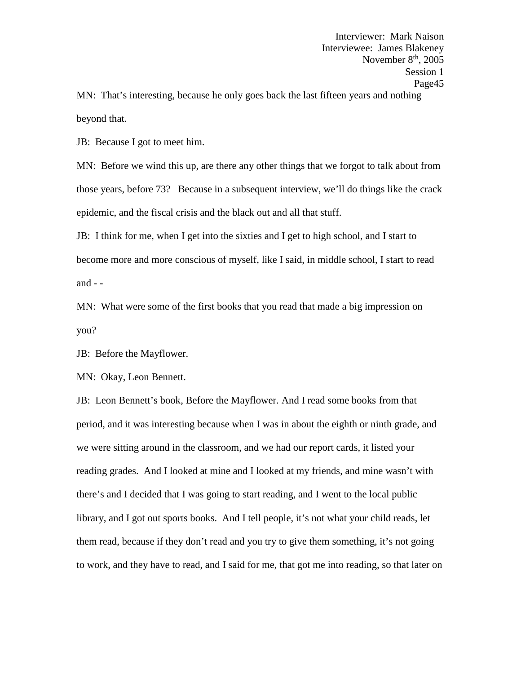MN: That's interesting, because he only goes back the last fifteen years and nothing beyond that.

JB: Because I got to meet him.

MN: Before we wind this up, are there any other things that we forgot to talk about from those years, before 73? Because in a subsequent interview, we'll do things like the crack epidemic, and the fiscal crisis and the black out and all that stuff.

JB: I think for me, when I get into the sixties and I get to high school, and I start to become more and more conscious of myself, like I said, in middle school, I start to read and - -<br>MN: What were some of the first books that you read that made a big impression on

you?

JB: Before the Mayflower.

MN: Okay, Leon Bennett.

JB: Leon Bennett's book, Before the Mayflower. And I read some books from that period, and it was interesting because when I was in about the eighth or ninth grade, and we were sitting around in the classroom, and we had our report cards, it listed your reading grades. And I looked at mine and I looked at my friends, and mine wasn't with there's and I decided that I was going to start reading, and I went to the local public library, and I got out sports books. And I tell people, it's not what your child reads, let them read, because if they don't read and you try to give them something, it's not going to work, and they have to read, and I said for me, that got me into reading, so that later on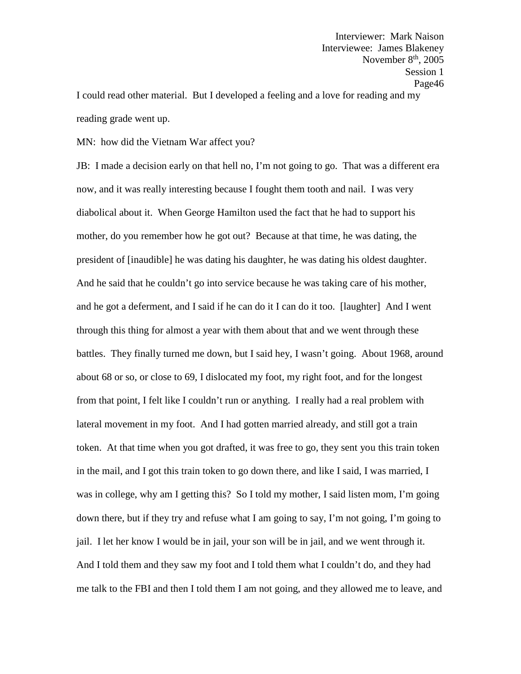Interviewer: Mark Naison Interviewee: James Blakeney November  $8<sup>th</sup>$ , 2005 Session 1 Page46 I could read other material. But I developed a feeling and a love for reading and my

reading grade went up.

MN: how did the Vietnam War affect you?

JB: I made a decision early on that hell no, I'm not going to go. That was a different era now, and it was really interesting because I fought them tooth and nail. I was very diabolical about it. When George Hamilton used the fact that he had to support his mother, do you remember how he got out? Because at that time, he was dating, the president of [inaudible] he was dating his daughter, he was dating his oldest daughter. And he said that he couldn't go into service because he was taking care of his mother, and he got a deferment, and I said if he can do it I can do it too. [laughter] And I went through this thing for almost a year with them about that and we went through these battles. They finally turned me down, but I said hey, I wasn't going. About 1968, around about 68 or so, or close to 69, I dislocated my foot, my right foot, and for the longest from that point, I felt like I couldn't run or anything. I really had a real problem with lateral movement in my foot. And I had gotten married already, and still got a train token. At that time when you got drafted, it was free to go, they sent you this train token in the mail, and I got this train token to go down there, and like I said, I was married, I was in college, why am I getting this? So I told my mother, I said listen mom, I'm going down there, but if they try and refuse what I am going to say, I'm not going, I'm going to jail. I let her know I would be in jail, your son will be in jail, and we went through it. And I told them and they saw my foot and I told them what I couldn't do, and they had me talk to the FBI and then I told them I am not going, and they allowed me to leave, and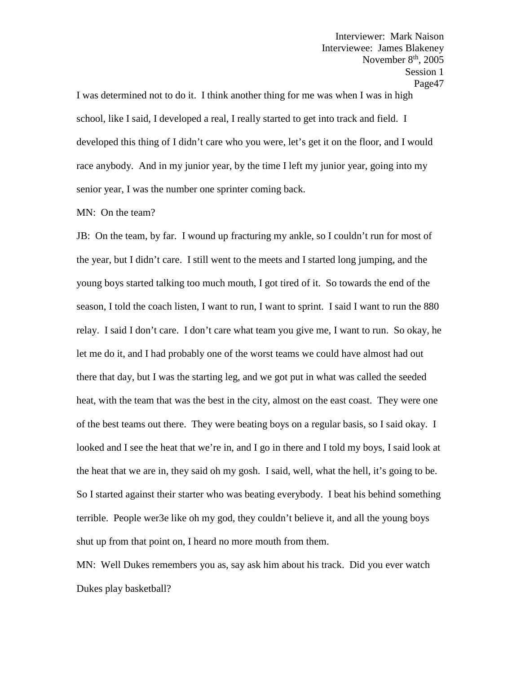I was determined not to do it. I think another thing for me was when I was in high school, like I said, I developed a real, I really started to get into track and field. I developed this thing of I didn't care who you were, let's get it on the floor, and I would race anybody. And in my junior year, by the time I left my junior year, going into my senior year, I was the number one sprinter coming back.

## MN: On the team?

JB: On the team, by far. I wound up fracturing my ankle, so I couldn't run for most of the year, but I didn't care. I still went to the meets and I started long jumping, and the young boys started talking too much mouth, I got tired of it. So towards the end of the season, I told the coach listen, I want to run, I want to sprint. I said I want to run the 880 relay. I said I don't care. I don't care what team you give me, I want to run. So okay, he let me do it, and I had probably one of the worst teams we could have almost had out there that day, but I was the starting leg, and we got put in what was called the seeded heat, with the team that was the best in the city, almost on the east coast. They were one of the best teams out there. They were beating boys on a regular basis, so I said okay. I looked and I see the heat that we're in, and I go in there and I told my boys, I said look at the heat that we are in, they said oh my gosh. I said, well, what the hell, it's going to be. So I started against their starter who was beating everybody. I beat his behind something terrible. People wer3e like oh my god, they couldn't believe it, and all the young boys shut up from that point on, I heard no more mouth from them.

MN: Well Dukes remembers you as, say ask him about his track. Did you ever watch Dukes play basketball?